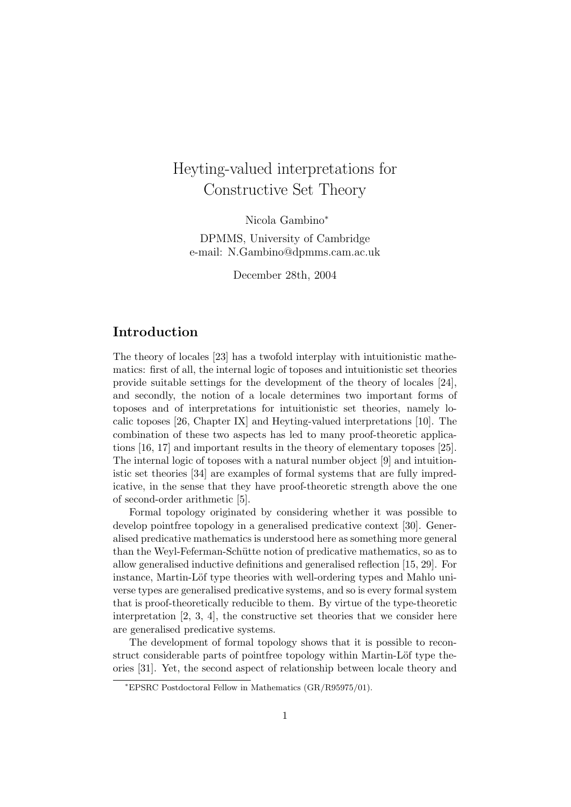# Heyting-valued interpretations for Constructive Set Theory

Nicola Gambino<sup>∗</sup> DPMMS, University of Cambridge e-mail: N.Gambino@dpmms.cam.ac.uk

December 28th, 2004

## Introduction

The theory of locales [23] has a twofold interplay with intuitionistic mathematics: first of all, the internal logic of toposes and intuitionistic set theories provide suitable settings for the development of the theory of locales [24], and secondly, the notion of a locale determines two important forms of toposes and of interpretations for intuitionistic set theories, namely localic toposes [26, Chapter IX] and Heyting-valued interpretations [10]. The combination of these two aspects has led to many proof-theoretic applications [16, 17] and important results in the theory of elementary toposes [25]. The internal logic of toposes with a natural number object [9] and intuitionistic set theories [34] are examples of formal systems that are fully impredicative, in the sense that they have proof-theoretic strength above the one of second-order arithmetic [5].

Formal topology originated by considering whether it was possible to develop pointfree topology in a generalised predicative context [30]. Generalised predicative mathematics is understood here as something more general than the Weyl-Feferman-Schütte notion of predicative mathematics, so as to allow generalised inductive definitions and generalised reflection [15, 29]. For instance, Martin-Löf type theories with well-ordering types and Mahlo universe types are generalised predicative systems, and so is every formal system that is proof-theoretically reducible to them. By virtue of the type-theoretic interpretation  $[2, 3, 4]$ , the constructive set theories that we consider here are generalised predicative systems.

The development of formal topology shows that it is possible to reconstruct considerable parts of pointfree topology within Martin-Löf type theories [31]. Yet, the second aspect of relationship between locale theory and

<sup>∗</sup>EPSRC Postdoctoral Fellow in Mathematics (GR/R95975/01).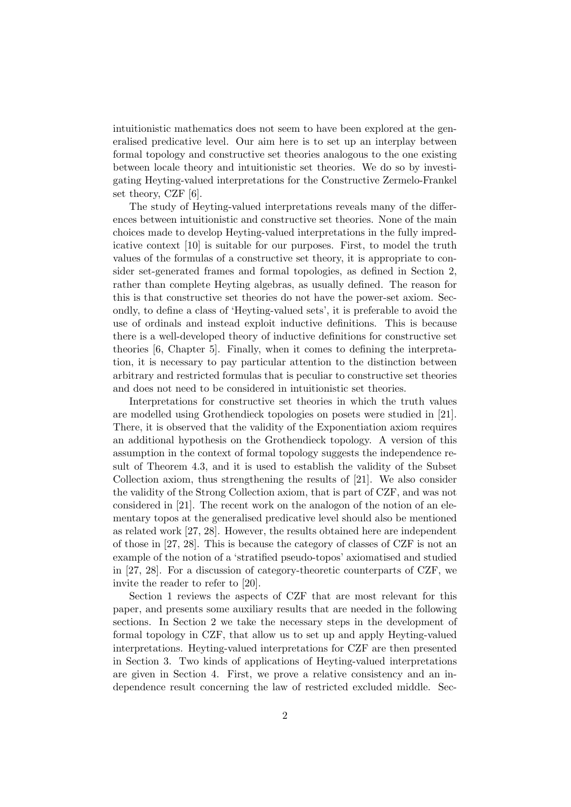intuitionistic mathematics does not seem to have been explored at the generalised predicative level. Our aim here is to set up an interplay between formal topology and constructive set theories analogous to the one existing between locale theory and intuitionistic set theories. We do so by investigating Heyting-valued interpretations for the Constructive Zermelo-Frankel set theory, CZF [6].

The study of Heyting-valued interpretations reveals many of the differences between intuitionistic and constructive set theories. None of the main choices made to develop Heyting-valued interpretations in the fully impredicative context [10] is suitable for our purposes. First, to model the truth values of the formulas of a constructive set theory, it is appropriate to consider set-generated frames and formal topologies, as defined in Section 2, rather than complete Heyting algebras, as usually defined. The reason for this is that constructive set theories do not have the power-set axiom. Secondly, to define a class of 'Heyting-valued sets', it is preferable to avoid the use of ordinals and instead exploit inductive definitions. This is because there is a well-developed theory of inductive definitions for constructive set theories [6, Chapter 5]. Finally, when it comes to defining the interpretation, it is necessary to pay particular attention to the distinction between arbitrary and restricted formulas that is peculiar to constructive set theories and does not need to be considered in intuitionistic set theories.

Interpretations for constructive set theories in which the truth values are modelled using Grothendieck topologies on posets were studied in [21]. There, it is observed that the validity of the Exponentiation axiom requires an additional hypothesis on the Grothendieck topology. A version of this assumption in the context of formal topology suggests the independence result of Theorem 4.3, and it is used to establish the validity of the Subset Collection axiom, thus strengthening the results of [21]. We also consider the validity of the Strong Collection axiom, that is part of CZF, and was not considered in [21]. The recent work on the analogon of the notion of an elementary topos at the generalised predicative level should also be mentioned as related work [27, 28]. However, the results obtained here are independent of those in [27, 28]. This is because the category of classes of CZF is not an example of the notion of a 'stratified pseudo-topos' axiomatised and studied in [27, 28]. For a discussion of category-theoretic counterparts of CZF, we invite the reader to refer to [20].

Section 1 reviews the aspects of CZF that are most relevant for this paper, and presents some auxiliary results that are needed in the following sections. In Section 2 we take the necessary steps in the development of formal topology in CZF, that allow us to set up and apply Heyting-valued interpretations. Heyting-valued interpretations for CZF are then presented in Section 3. Two kinds of applications of Heyting-valued interpretations are given in Section 4. First, we prove a relative consistency and an independence result concerning the law of restricted excluded middle. Sec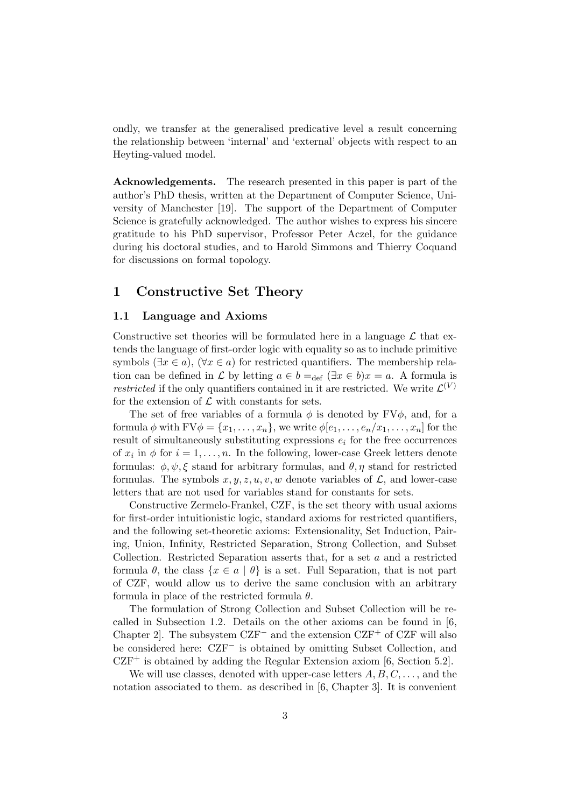ondly, we transfer at the generalised predicative level a result concerning the relationship between 'internal' and 'external' objects with respect to an Heyting-valued model.

Acknowledgements. The research presented in this paper is part of the author's PhD thesis, written at the Department of Computer Science, University of Manchester [19]. The support of the Department of Computer Science is gratefully acknowledged. The author wishes to express his sincere gratitude to his PhD supervisor, Professor Peter Aczel, for the guidance during his doctoral studies, and to Harold Simmons and Thierry Coquand for discussions on formal topology.

# 1 Constructive Set Theory

#### 1.1 Language and Axioms

Constructive set theories will be formulated here in a language  $\mathcal L$  that extends the language of first-order logic with equality so as to include primitive symbols ( $\exists x \in a$ ), ( $\forall x \in a$ ) for restricted quantifiers. The membership relation can be defined in L by letting  $a \in b =_{def} (\exists x \in b) x = a$ . A formula is *restricted* if the only quantifiers contained in it are restricted. We write  $\mathcal{L}^{(V)}$ for the extension of  $\mathcal L$  with constants for sets.

The set of free variables of a formula  $\phi$  is denoted by FV $\phi$ , and, for a formula  $\phi$  with  $FV\phi = \{x_1, \ldots, x_n\}$ , we write  $\phi[e_1, \ldots, e_n/x_1, \ldots, x_n]$  for the result of simultaneously substituting expressions  $e_i$  for the free occurrences of  $x_i$  in  $\phi$  for  $i = 1, \ldots, n$ . In the following, lower-case Greek letters denote formulas:  $\phi, \psi, \xi$  stand for arbitrary formulas, and  $\theta, \eta$  stand for restricted formulas. The symbols  $x, y, z, u, v, w$  denote variables of  $\mathcal{L}$ , and lower-case letters that are not used for variables stand for constants for sets.

Constructive Zermelo-Frankel, CZF, is the set theory with usual axioms for first-order intuitionistic logic, standard axioms for restricted quantifiers, and the following set-theoretic axioms: Extensionality, Set Induction, Pairing, Union, Infinity, Restricted Separation, Strong Collection, and Subset Collection. Restricted Separation asserts that, for a set a and a restricted formula  $\theta$ , the class  $\{x \in a \mid \theta\}$  is a set. Full Separation, that is not part of CZF, would allow us to derive the same conclusion with an arbitrary formula in place of the restricted formula  $\theta$ .

The formulation of Strong Collection and Subset Collection will be recalled in Subsection 1.2. Details on the other axioms can be found in [6, Chapter 2]. The subsystem  $CZF^-$  and the extension  $CZF^+$  of  $CZF$  will also be considered here: CZF<sup>−</sup> is obtained by omitting Subset Collection, and  $CZF^+$  is obtained by adding the Regular Extension axiom [6, Section 5.2].

We will use classes, denoted with upper-case letters  $A, B, C, \ldots$ , and the notation associated to them. as described in [6, Chapter 3]. It is convenient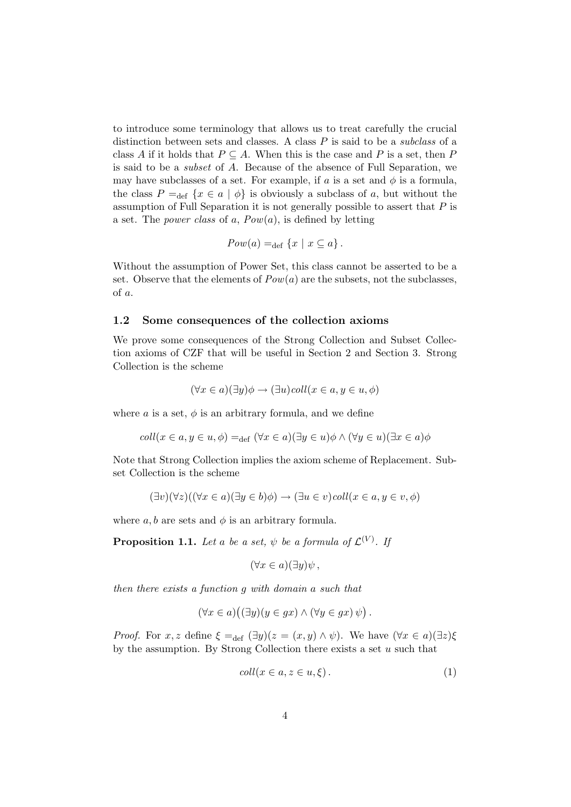to introduce some terminology that allows us to treat carefully the crucial distinction between sets and classes. A class  $P$  is said to be a *subclass* of a class A if it holds that  $P \subseteq A$ . When this is the case and P is a set, then P is said to be a subset of A. Because of the absence of Full Separation, we may have subclasses of a set. For example, if a is a set and  $\phi$  is a formula, the class  $P =_{def} {x \in a | \phi}$  is obviously a subclass of a, but without the assumption of Full Separation it is not generally possible to assert that  $P$  is a set. The *power class* of a,  $Pow(a)$ , is defined by letting

$$
Pow(a) =_{def} \{x \mid x \subseteq a\}.
$$

Without the assumption of Power Set, this class cannot be asserted to be a set. Observe that the elements of  $Pow(a)$  are the subsets, not the subclasses, of a.

#### 1.2 Some consequences of the collection axioms

We prove some consequences of the Strong Collection and Subset Collection axioms of CZF that will be useful in Section 2 and Section 3. Strong Collection is the scheme

$$
(\forall x \in a)(\exists y)\phi \rightarrow (\exists u)coll(x \in a, y \in u, \phi)
$$

where a is a set,  $\phi$  is an arbitrary formula, and we define

$$
coll(x \in a, y \in u, \phi) =_{def} (\forall x \in a)(\exists y \in u)\phi \land (\forall y \in u)(\exists x \in a)\phi
$$

Note that Strong Collection implies the axiom scheme of Replacement. Subset Collection is the scheme

$$
(\exists v)(\forall z)((\forall x \in a)(\exists y \in b)\phi) \rightarrow (\exists u \in v) \text{coll}(x \in a, y \in v, \phi)
$$

where  $a, b$  are sets and  $\phi$  is an arbitrary formula.

**Proposition 1.1.** Let a be a set,  $\psi$  be a formula of  $\mathcal{L}^{(V)}$ . If

$$
(\forall x \in a)(\exists y)\psi ,
$$

then there exists a function g with domain a such that

$$
(\forall x \in a)((\exists y)(y \in gx) \land (\forall y \in gx) \psi).
$$

*Proof.* For x, z define  $\xi =_{def} (\exists y)(z = (x, y) \wedge \psi)$ . We have  $(\forall x \in a)(\exists z)\xi$ by the assumption. By Strong Collection there exists a set  $u$  such that

$$
coll(x \in a, z \in u, \xi).
$$
 (1)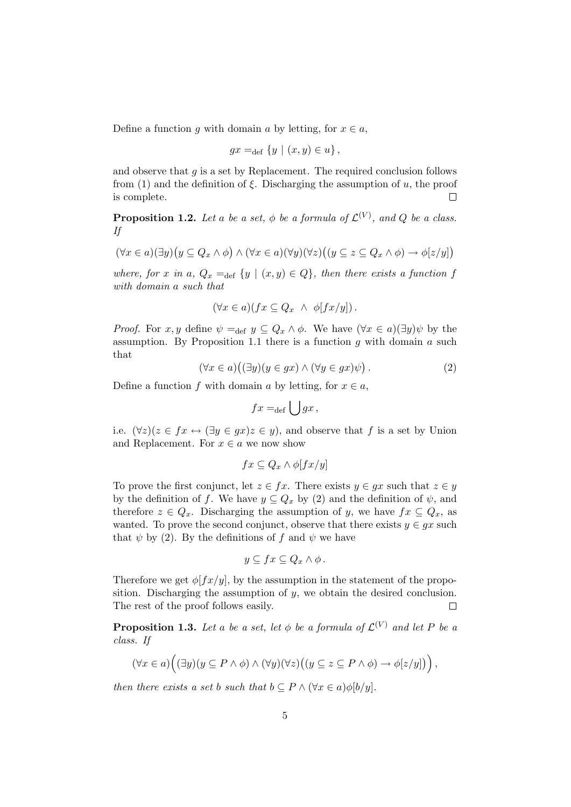Define a function g with domain a by letting, for  $x \in a$ ,

$$
gx =_{\text{def}} \{y \mid (x, y) \in u\},
$$

and observe that  $g$  is a set by Replacement. The required conclusion follows from (1) and the definition of  $\xi$ . Discharging the assumption of u, the proof is complete.  $\Box$ 

**Proposition 1.2.** Let a be a set,  $\phi$  be a formula of  $\mathcal{L}^{(V)}$ , and Q be a class. If

$$
(\forall x \in a)(\exists y)(y \subseteq Q_x \land \phi) \land (\forall x \in a)(\forall y)(\forall z)((y \subseteq z \subseteq Q_x \land \phi) \to \phi[z/y])
$$

where, for x in a,  $Q_x =_{def} \{y \mid (x, y) \in Q\}$ , then there exists a function f with domain a such that

$$
(\forall x \in a)(fx \subseteq Q_x \ \land \ \phi[fx/y]).
$$

*Proof.* For x, y define  $\psi =_{def} y \subseteq Q_x \wedge \phi$ . We have  $(\forall x \in a)(\exists y)\psi$  by the assumption. By Proposition 1.1 there is a function  $q$  with domain  $a$  such that

$$
(\forall x \in a) ((\exists y)(y \in gx) \land (\forall y \in gx)\psi).
$$
\n(2)

Define a function f with domain a by letting, for  $x \in a$ ,

$$
fx =_{\text{def}} \bigcup gx,
$$

i.e.  $(\forall z)(z \in fx \leftrightarrow (\exists y \in gx)z \in y)$ , and observe that f is a set by Union and Replacement. For  $x \in a$  we now show

$$
fx \subseteq Q_x \wedge \phi[fx/y]
$$

To prove the first conjunct, let  $z \in fx$ . There exists  $y \in gx$  such that  $z \in y$ by the definition of f. We have  $y \subseteq Q_x$  by (2) and the definition of  $\psi$ , and therefore  $z \in Q_x$ . Discharging the assumption of y, we have  $fx \subseteq Q_x$ , as wanted. To prove the second conjunct, observe that there exists  $y \in gx$  such that  $\psi$  by (2). By the definitions of f and  $\psi$  we have

$$
y \subseteq fx \subseteq Q_x \wedge \phi.
$$

Therefore we get  $\phi[fx/y]$ , by the assumption in the statement of the proposition. Discharging the assumption of  $y$ , we obtain the desired conclusion. The rest of the proof follows easily.  $\Box$ 

**Proposition 1.3.** Let a be a set, let  $\phi$  be a formula of  $\mathcal{L}^{(V)}$  and let P be a class. If

$$
(\forall x \in a) \Big( (\exists y)(y \subseteq P \land \phi) \land (\forall y)(\forall z) \big( (y \subseteq z \subseteq P \land \phi) \to \phi[z/y] \big) \Big),
$$

then there exists a set b such that  $b \subseteq P \land (\forall x \in a) \phi[b/y].$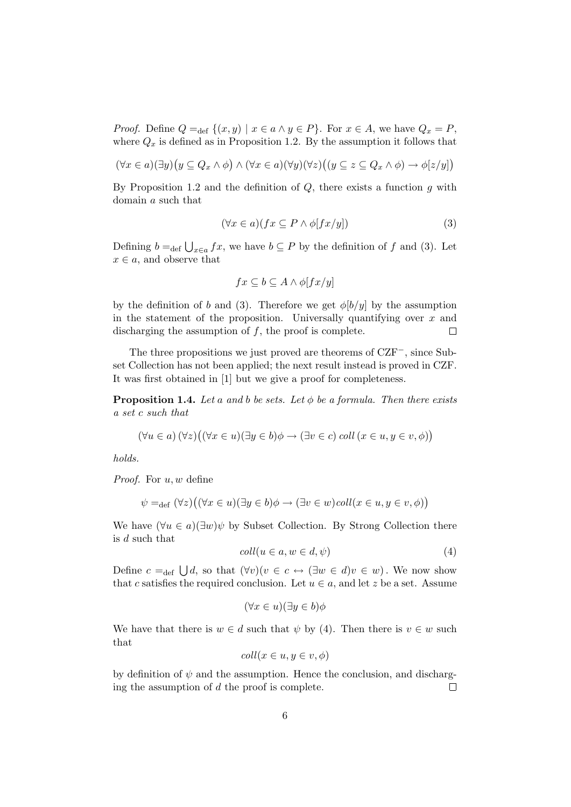*Proof.* Define  $Q =_{def} \{(x, y) | x \in a \land y \in P\}$ . For  $x \in A$ , we have  $Q_x = P$ , where  $Q_x$  is defined as in Proposition 1.2. By the assumption it follows that

$$
(\forall x \in a)(\exists y)(y \subseteq Q_x \land \phi) \land (\forall x \in a)(\forall y)(\forall z)((y \subseteq z \subseteq Q_x \land \phi) \to \phi[z/y])
$$

By Proposition 1.2 and the definition of  $Q$ , there exists a function  $g$  with domain a such that

$$
(\forall x \in a)(fx \subseteq P \land \phi[fx/y]) \tag{3}
$$

Defining  $b =_{def} \bigcup_{x \in a} fx$ , we have  $b \subseteq P$  by the definition of f and (3). Let  $x \in a$ , and observe that

$$
fx \subseteq b \subseteq A \land \phi[fx/y]
$$

by the definition of b and (3). Therefore we get  $\phi[b/y]$  by the assumption in the statement of the proposition. Universally quantifying over  $x$  and discharging the assumption of  $f$ , the proof is complete.  $\Box$ 

The three propositions we just proved are theorems of CZF−, since Subset Collection has not been applied; the next result instead is proved in CZF. It was first obtained in [1] but we give a proof for completeness.

**Proposition 1.4.** Let a and b be sets. Let  $\phi$  be a formula. Then there exists a set c such that

$$
(\forall u \in a) (\forall z) ((\forall x \in u)(\exists y \in b)\phi \rightarrow (\exists v \in c) \; coll \; (x \in u, y \in v, \phi))
$$

holds.

*Proof.* For  $u, w$  define

$$
\psi =_{\text{def}} (\forall z) ((\forall x \in u)(\exists y \in b)\phi \rightarrow (\exists v \in w) \text{coll}(x \in u, y \in v, \phi))
$$

We have  $(\forall u \in a)(\exists w)\psi$  by Subset Collection. By Strong Collection there is d such that

$$
coll(u \in a, w \in d, \psi)
$$
\n<sup>(4)</sup>

Define  $c =_{def} \bigcup d$ , so that  $(\forall v)(v \in c \leftrightarrow (\exists w \in d)v \in w)$ . We now show that c satisfies the required conclusion. Let  $u \in a$ , and let z be a set. Assume

$$
(\forall x \in u)(\exists y \in b)\phi
$$

We have that there is  $w \in d$  such that  $\psi$  by (4). Then there is  $v \in w$  such that

$$
coll(x \in u, y \in v, \phi)
$$

by definition of  $\psi$  and the assumption. Hence the conclusion, and discharging the assumption of d the proof is complete.  $\Box$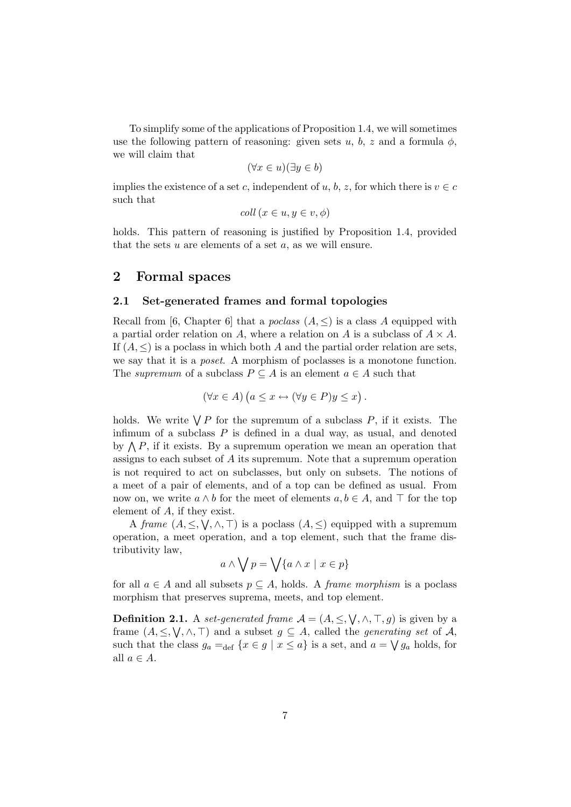To simplify some of the applications of Proposition 1.4, we will sometimes use the following pattern of reasoning: given sets u, b, z and a formula  $\phi$ , we will claim that

$$
(\forall x \in u)(\exists y \in b)
$$

implies the existence of a set c, independent of u, b, z, for which there is  $v \in c$ such that

$$
coll(x \in u, y \in v, \phi)
$$

holds. This pattern of reasoning is justified by Proposition 1.4, provided that the sets  $u$  are elements of a set  $a$ , as we will ensure.

### 2 Formal spaces

#### 2.1 Set-generated frames and formal topologies

Recall from [6, Chapter 6] that a *poclass*  $(A, \leq)$  is a class A equipped with a partial order relation on A, where a relation on A is a subclass of  $A \times A$ . If  $(A, \leq)$  is a poclass in which both A and the partial order relation are sets, we say that it is a poset. A morphism of poclasses is a monotone function. The supremum of a subclass  $P \subseteq A$  is an element  $a \in A$  such that

$$
(\forall x \in A) \ (a \leq x \leftrightarrow (\forall y \in P) y \leq x).
$$

holds. We write  $\bigvee P$  for the supremum of a subclass P, if it exists. The infimum of a subclass  $P$  is defined in a dual way, as usual, and denoted by  $\bigwedge P$ , if it exists. By a supremum operation we mean an operation that assigns to each subset of A its supremum. Note that a supremum operation is not required to act on subclasses, but only on subsets. The notions of a meet of a pair of elements, and of a top can be defined as usual. From now on, we write  $a \wedge b$  for the meet of elements  $a, b \in A$ , and  $\top$  for the top element of A, if they exist.

A frame  $(A, \leq, \vee, \wedge, \top)$  is a poclass  $(A, \leq)$  equipped with a supremum operation, a meet operation, and a top element, such that the frame distributivity law,

$$
a \wedge \bigvee p = \bigvee \{a \wedge x \mid x \in p\}
$$

for all  $a \in A$  and all subsets  $p \subseteq A$ , holds. A *frame morphism* is a poclass morphism that preserves suprema, meets, and top element.

**Definition 2.1.** A set-generated frame  $A = (A, \leq, \vee, \wedge, \top, g)$  is given by a frame  $(A, \leq, \bigvee, \wedge, \top)$  and a subset  $g \subseteq A$ , called the *generating set* of A, such that the class  $g_a =_{def} \{x \in g \mid x \leq a\}$  is a set, and  $a = \bigvee g_a$  holds, for all  $a \in A$ .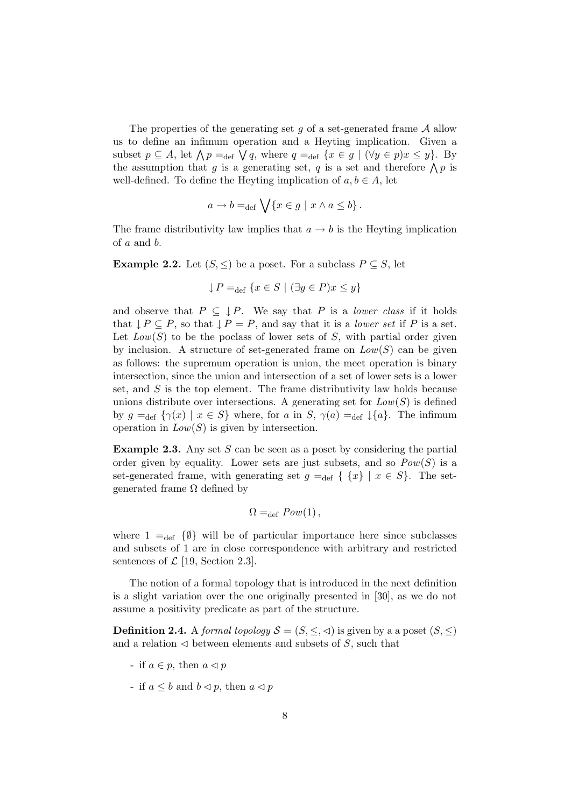The properties of the generating set q of a set-generated frame  $A$  allow us to define an infimum operation and a Heyting implication. Given a subset  $p \subseteq A$ , let  $\bigwedge p =_{def} \bigvee q$ , where  $q =_{def} \{x \in g \mid (\forall y \in p) x \leq y\}$ . By the assumption that g is a generating set, q is a set and therefore  $\bigwedge p$  is well-defined. To define the Heyting implication of  $a, b \in A$ , let

$$
a \to b =_{\text{def}} \bigvee \{x \in g \mid x \wedge a \leq b\}.
$$

The frame distributivity law implies that  $a \rightarrow b$  is the Heyting implication of a and b.

**Example 2.2.** Let  $(S, \leq)$  be a poset. For a subclass  $P \subseteq S$ , let

$$
\downarrow P =_{\text{def}} \{ x \in S \mid (\exists y \in P) x \le y \}
$$

and observe that  $P \subseteq \downarrow P$ . We say that P is a *lower class* if it holds that  $\downarrow P \subseteq P$ , so that  $\downarrow P = P$ , and say that it is a *lower set* if P is a set. Let  $Low(S)$  to be the poclass of lower sets of S, with partial order given by inclusion. A structure of set-generated frame on  $Low(S)$  can be given as follows: the supremum operation is union, the meet operation is binary intersection, since the union and intersection of a set of lower sets is a lower set, and  $S$  is the top element. The frame distributivity law holds because unions distribute over intersections. A generating set for  $Low(S)$  is defined by  $g =_{def} {\gamma(x) | x \in S}$  where, for a in  $S, \gamma(a) =_{def} {\mathcal{A}}$ . The infimum operation in  $Low(S)$  is given by intersection.

**Example 2.3.** Any set  $S$  can be seen as a poset by considering the partial order given by equality. Lower sets are just subsets, and so  $Pow(S)$  is a set-generated frame, with generating set  $g =_{def} \{ \{x\} \mid x \in S \}$ . The setgenerated frame  $Ω$  defined by

$$
\Omega =_{\text{def}} \mathit{Pow}(1),
$$

where  $1 =_{def} \{\emptyset\}$  will be of particular importance here since subclasses and subsets of 1 are in close correspondence with arbitrary and restricted sentences of  $\mathcal{L}$  [19, Section 2.3].

The notion of a formal topology that is introduced in the next definition is a slight variation over the one originally presented in [30], as we do not assume a positivity predicate as part of the structure.

**Definition 2.4.** A formal topology  $S = (S, \leq, \leq)$  is given by a a poset  $(S, \leq)$ and a relation  $\triangleleft$  between elements and subsets of S, such that

- if  $a \in p$ , then  $a \triangleleft p$
- if  $a \leq b$  and  $b \leq p$ , then  $a \leq p$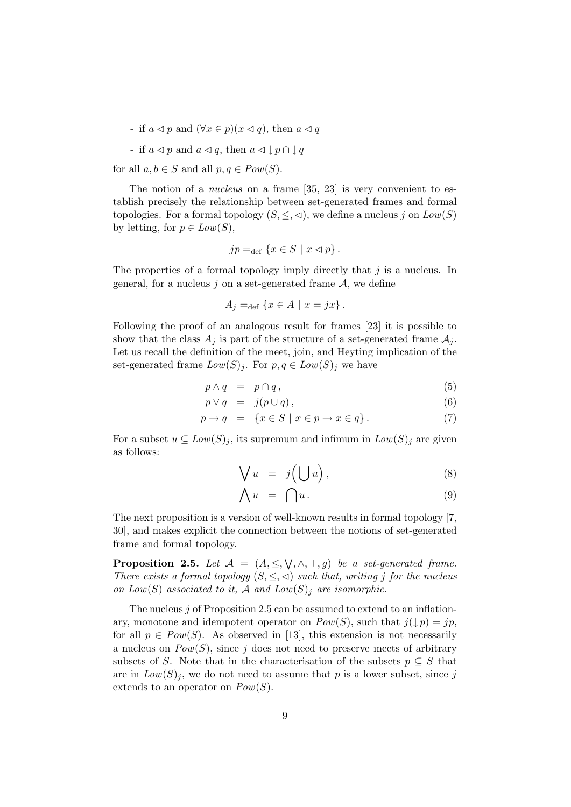- if  $a \triangleleft p$  and  $(\forall x \in p)(x \triangleleft q)$ , then  $a \triangleleft q$
- if  $a \triangleleft p$  and  $a \triangleleft q$ , then  $a \triangleleft \downarrow p \cap \downarrow q$

for all  $a, b \in S$  and all  $p, q \in Pow(S)$ .

The notion of a *nucleus* on a frame [35, 23] is very convenient to establish precisely the relationship between set-generated frames and formal topologies. For a formal topology  $(S, \leq, \leq)$ , we define a nucleus j on  $Low(S)$ by letting, for  $p \in Low(S)$ ,

$$
jp =_{def} \{x \in S \mid x \lhd p\}.
$$

The properties of a formal topology imply directly that  $j$  is a nucleus. In general, for a nucleus  $j$  on a set-generated frame  $A$ , we define

$$
A_j =_{\text{def}} \{ x \in A \mid x = jx \}.
$$

Following the proof of an analogous result for frames [23] it is possible to show that the class  $A_j$  is part of the structure of a set-generated frame  $A_j$ . Let us recall the definition of the meet, join, and Heyting implication of the set-generated frame  $Low(S)_j$ . For  $p, q \in Low(S)_j$  we have

$$
p \wedge q = p \cap q, \tag{5}
$$

$$
p \vee q = j(p \cup q), \tag{6}
$$

$$
p \to q = \{ x \in S \mid x \in p \to x \in q \}.
$$
 (7)

For a subset  $u \subseteq Low(S)_j$ , its supremum and infimum in  $Low(S)_j$  are given as follows:

$$
\bigvee u = j\Big(\bigcup u\Big),\tag{8}
$$

$$
\bigwedge u = \bigcap u. \tag{9}
$$

The next proposition is a version of well-known results in formal topology [7, 30], and makes explicit the connection between the notions of set-generated frame and formal topology.

**Proposition 2.5.** Let  $\mathcal{A} = (A, \leq, \forall, \land, \top, g)$  be a set-generated frame. There exists a formal topology  $(S, \leq, \leq)$  such that, writing j for the nucleus on  $Low(S)$  associated to it, A and  $Low(S)$  are isomorphic.

The nucleus j of Proposition 2.5 can be assumed to extend to an inflationary, monotone and idempotent operator on  $Pow(S)$ , such that  $j(\downarrow p) = jp$ , for all  $p \in Pow(S)$ . As observed in [13], this extension is not necessarily a nucleus on  $Pow(S)$ , since j does not need to preserve meets of arbitrary subsets of S. Note that in the characterisation of the subsets  $p \subseteq S$  that are in  $Low(S)<sub>j</sub>$ , we do not need to assume that p is a lower subset, since j extends to an operator on  $Pow(S)$ .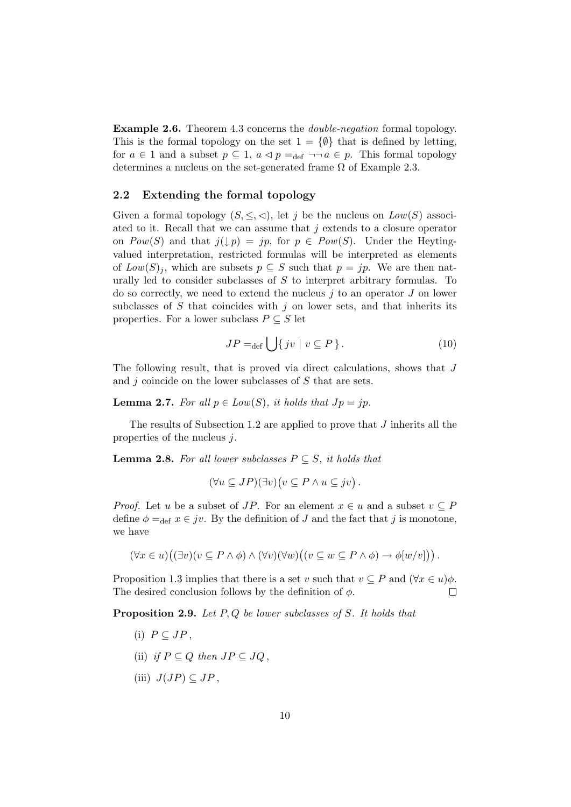Example 2.6. Theorem 4.3 concerns the double-negation formal topology. This is the formal topology on the set  $1 = \{\emptyset\}$  that is defined by letting, for  $a \in 1$  and a subset  $p \subseteq 1$ ,  $a \triangleleft p =_{def} \neg \neg a \in p$ . This formal topology determines a nucleus on the set-generated frame  $\Omega$  of Example 2.3.

#### 2.2 Extending the formal topology

Given a formal topology  $(S, \leq, \leq)$ , let j be the nucleus on  $Low(S)$  associated to it. Recall that we can assume that j extends to a closure operator on  $Pow(S)$  and that  $j(\downarrow p) = jp$ , for  $p \in Pow(S)$ . Under the Heytingvalued interpretation, restricted formulas will be interpreted as elements of  $Low(S)<sub>j</sub>$ , which are subsets  $p \subseteq S$  such that  $p = jp$ . We are then naturally led to consider subclasses of S to interpret arbitrary formulas. To do so correctly, we need to extend the nucleus  $j$  to an operator  $J$  on lower subclasses of  $S$  that coincides with  $j$  on lower sets, and that inherits its properties. For a lower subclass  $P \subseteq S$  let

$$
JP =_{def} \bigcup \{ jv \mid v \subseteq P \}. \tag{10}
$$

The following result, that is proved via direct calculations, shows that J and  $j$  coincide on the lower subclasses of  $S$  that are sets.

**Lemma 2.7.** For all  $p \in Low(S)$ , it holds that  $Jp = jp$ .

The results of Subsection 1.2 are applied to prove that  $J$  inherits all the properties of the nucleus j.

**Lemma 2.8.** For all lower subclasses  $P \subseteq S$ , it holds that

$$
(\forall u \subseteq JP)(\exists v)(v \subseteq P \land u \subseteq jv).
$$

*Proof.* Let u be a subset of JP. For an element  $x \in u$  and a subset  $v \subseteq P$ define  $\phi =_{def} x \in jv$ . By the definition of J and the fact that j is monotone, we have

$$
(\forall x \in u)((\exists v)(v \subseteq P \land \phi) \land (\forall v)(\forall w)((v \subseteq w \subseteq P \land \phi) \to \phi[w/v]) ).
$$

Proposition 1.3 implies that there is a set v such that  $v \subseteq P$  and  $(\forall x \in u)\phi$ . The desired conclusion follows by the definition of  $\phi$ .  $\Box$ 

**Proposition 2.9.** Let  $P, Q$  be lower subclasses of  $S$ . It holds that

- (i)  $P \subseteq JP$ .
- (ii) if  $P \subseteq Q$  then  $JP \subseteq JO$ .
- (iii)  $J(JP) \subset JP$ .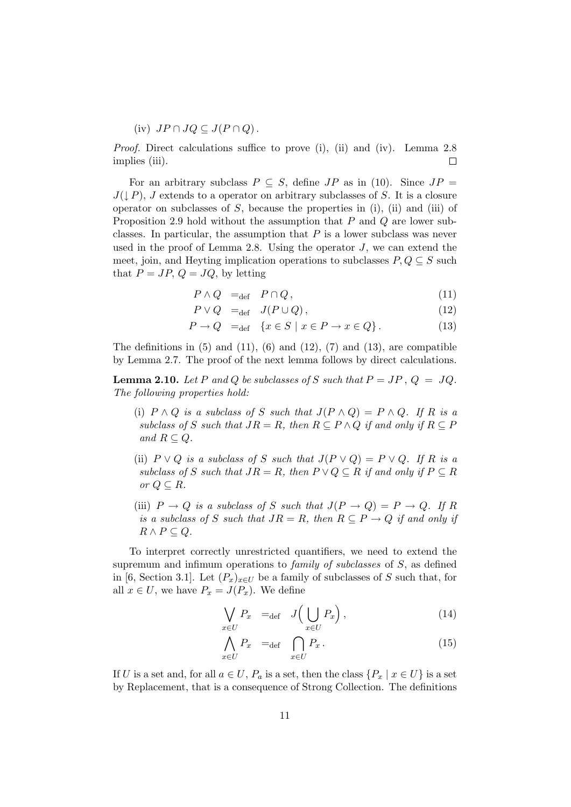(iv) 
$$
JP \cap JQ \subseteq J(P \cap Q)
$$
.

Proof. Direct calculations suffice to prove (i), (ii) and (iv). Lemma 2.8 implies (iii).  $\Box$ 

For an arbitrary subclass  $P \subseteq S$ , define  $JP$  as in (10). Since  $JP =$  $J(\downarrow P)$ , J extends to a operator on arbitrary subclasses of S. It is a closure operator on subclasses of  $S$ , because the properties in (i), (ii) and (iii) of Proposition 2.9 hold without the assumption that P and Q are lower subclasses. In particular, the assumption that  $P$  is a lower subclass was never used in the proof of Lemma 2.8. Using the operator  $J$ , we can extend the meet, join, and Heyting implication operations to subclasses  $P, Q \subseteq S$  such that  $P = JP$ ,  $Q = JQ$ , by letting

$$
P \wedge Q =_{\text{def}} P \cap Q, \qquad (11)
$$

$$
P \vee Q =_{\text{def}} J(P \cup Q), \qquad (12)
$$

$$
P \to Q =_{\text{def}} \{ x \in S \mid x \in P \to x \in Q \}.
$$
 (13)

The definitions in  $(5)$  and  $(11)$ ,  $(6)$  and  $(12)$ ,  $(7)$  and  $(13)$ , are compatible by Lemma 2.7. The proof of the next lemma follows by direct calculations.

**Lemma 2.10.** Let P and Q be subclasses of S such that  $P = JP$ ,  $Q = JQ$ . The following properties hold:

- (i)  $P \wedge Q$  is a subclass of S such that  $J(P \wedge Q) = P \wedge Q$ . If R is a subclass of S such that  $JR = R$ , then  $R \subseteq P \wedge Q$  if and only if  $R \subseteq P$ and  $R \subset Q$ .
- (ii)  $P \vee Q$  is a subclass of S such that  $J(P \vee Q) = P \vee Q$ . If R is a subclass of S such that  $JR = R$ , then  $P \vee Q \subseteq R$  if and only if  $P \subseteq R$ or  $Q \subseteq R$ .
- (iii)  $P \to Q$  is a subclass of S such that  $J(P \to Q) = P \to Q$ . If R is a subclass of S such that  $JR = R$ , then  $R \subseteq P \rightarrow Q$  if and only if  $R \wedge P \subseteq Q$ .

To interpret correctly unrestricted quantifiers, we need to extend the supremum and infimum operations to *family of subclasses* of  $S$ , as defined in [6, Section 3.1]. Let  $(P_x)_{x\in U}$  be a family of subclasses of S such that, for all  $x \in U$ , we have  $P_x = J(P_x)$ . We define

$$
\bigvee_{x \in U} P_x =_{\text{def}} J\left(\bigcup_{x \in U} P_x\right),\tag{14}
$$

$$
\bigwedge_{x \in U} P_x =_{\text{def}} \bigcap_{x \in U} P_x. \tag{15}
$$

If U is a set and, for all  $a \in U$ ,  $P_a$  is a set, then the class  $\{P_x \mid x \in U\}$  is a set by Replacement, that is a consequence of Strong Collection. The definitions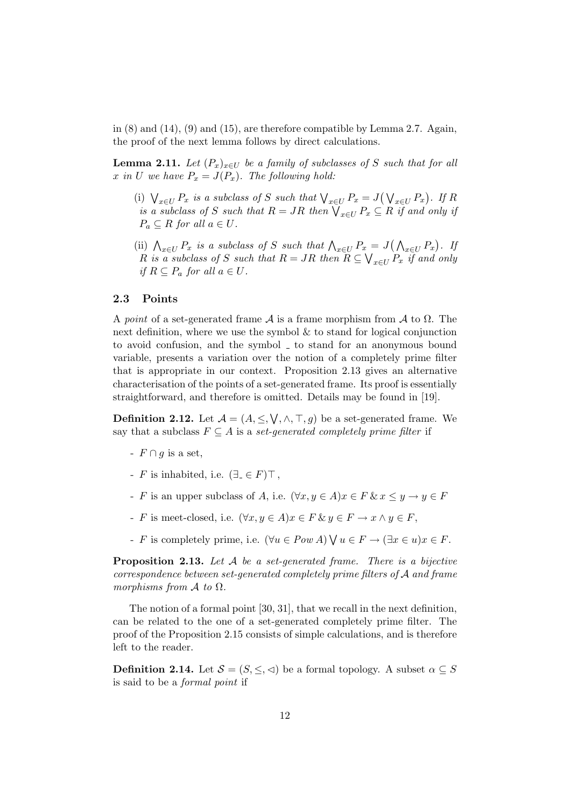in  $(8)$  and  $(14)$ ,  $(9)$  and  $(15)$ , are therefore compatible by Lemma 2.7. Again, the proof of the next lemma follows by direct calculations.

**Lemma 2.11.** Let  $(P_x)_{x \in U}$  be a family of subclasses of S such that for all x in U we have  $P_x = J(P_x)$ . The following hold:

- (i)  $\bigvee_{x \in U} P_x$  is a subclass of S such that  $\bigvee_{x \in U} P_x = J(\bigvee_{x \in U} P_x)$ . If R is a subclass of S such that  $R = JR$  then  $\bigvee_{x \in U} P_x \subseteq R$  if and only if  $P_a \subseteq R$  for all  $a \in U$ .
- (ii)  $\bigwedge_{x\in U} P_x$  is a subclass of S such that  $\bigwedge_{x\in U} P_x = J(\bigwedge_{x\in U} P_x)$ . If R is a subclass of S such that  $R = JR$  then  $R \subseteq \bigvee_{x \in U} P_x$  if and only if  $R \subseteq P_a$  for all  $a \in U$ .

#### 2.3 Points

A point of a set-generated frame  $A$  is a frame morphism from  $A$  to  $\Omega$ . The next definition, where we use the symbol  $\&$  to stand for logical conjunction to avoid confusion, and the symbol  $\overline{\ }$  to stand for an anonymous bound variable, presents a variation over the notion of a completely prime filter that is appropriate in our context. Proposition 2.13 gives an alternative characterisation of the points of a set-generated frame. Its proof is essentially straightforward, and therefore is omitted. Details may be found in [19].

**Definition 2.12.** Let  $\mathcal{A} = (A, \leq, \vee, \wedge, \top, g)$  be a set-generated frame. We say that a subclass  $F \subseteq A$  is a set-generated completely prime filter if

- $-F \cap g$  is a set,
- F is inhabited, i.e.  $(\exists_{-} \in F) \top$ ,
- F is an upper subclass of A, i.e.  $(\forall x, y \in A) x \in F \& x \leq y \rightarrow y \in F$
- F is meet-closed, i.e.  $(\forall x, y \in A) x \in F \& y \in F \rightarrow x \land y \in F$ ,
- F is completely prime, i.e.  $(\forall u \in Pow \ A) \ \forall u \in F \rightarrow (\exists x \in u) x \in F$ .

**Proposition 2.13.** Let  $A$  be a set-generated frame. There is a bijective correspondence between set-generated completely prime filters of A and frame morphisms from  $A$  to  $\Omega$ .

The notion of a formal point [30, 31], that we recall in the next definition, can be related to the one of a set-generated completely prime filter. The proof of the Proposition 2.15 consists of simple calculations, and is therefore left to the reader.

**Definition 2.14.** Let  $S = (S, \leq, \leq)$  be a formal topology. A subset  $\alpha \subseteq S$ is said to be a formal point if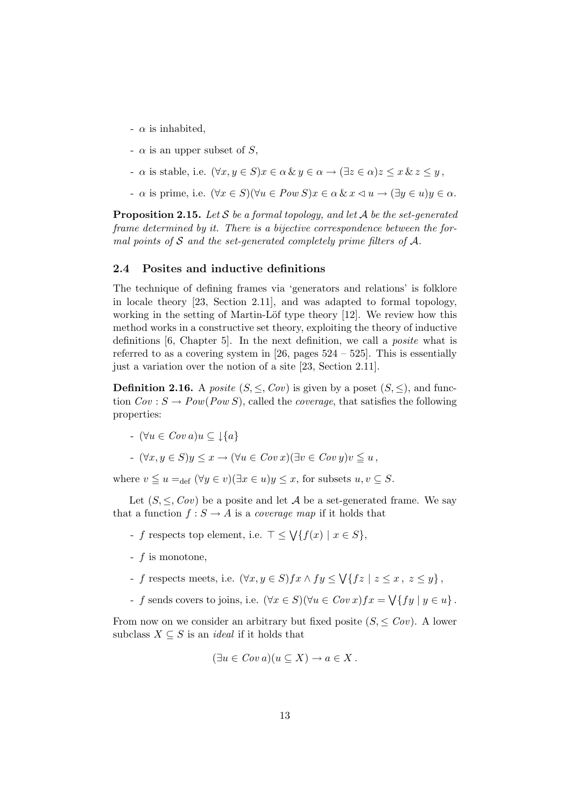- $\alpha$  is inhabited,
- $-\alpha$  is an upper subset of S,
- $\alpha$  is stable, i.e.  $(\forall x, y \in S) x \in \alpha \& y \in \alpha \rightarrow (\exists z \in \alpha) z \leq x \& z \leq y$ ,
- $\alpha$  is prime, i.e.  $(\forall x \in S)(\forall u \in Pow S)x \in \alpha \& x \triangleleft u \rightarrow (\exists y \in u)y \in \alpha$ .

**Proposition 2.15.** Let S be a formal topology, and let A be the set-generated frame determined by it. There is a bijective correspondence between the formal points of  $S$  and the set-generated completely prime filters of  $A$ .

#### 2.4 Posites and inductive definitions

The technique of defining frames via 'generators and relations' is folklore in locale theory [23, Section 2.11], and was adapted to formal topology, working in the setting of Martin-Löf type theory [12]. We review how this method works in a constructive set theory, exploiting the theory of inductive definitions [6, Chapter 5]. In the next definition, we call a *posite* what is referred to as a covering system in [26, pages  $524 - 525$ ]. This is essentially just a variation over the notion of a site [23, Section 2.11].

**Definition 2.16.** A *posite*  $(S, \leq, Cov)$  is given by a poset  $(S, \leq)$ , and function  $Cov : S \to Pow(Pow S)$ , called the *coverage*, that satisfies the following properties:

- $\vdash (\forall u \in Cov \, a) u \subseteq \bot \{a\}$
- $\forall x, y \in S$ ) $y \leq x \rightarrow (\forall u \in Cov \, x) (\exists v \in Cov \, y) v \leq u$ ,

where  $v \leq u =_{def} (\forall y \in v)(\exists x \in u)y \leq x$ , for subsets  $u, v \subseteq S$ .

Let  $(S, \leq, \text{Cov})$  be a posite and let A be a set-generated frame. We say that a function  $f : S \to A$  is a *coverage map* if it holds that

- f respects top element, i.e.  $\top \leq \bigvee \{f(x) \mid x \in S\},\$
- f is monotone,
- f respects meets, i.e.  $(\forall x, y \in S)$   $f x \wedge f y \leq \sqrt{\{f z \mid z \leq x, z \leq y\}}$ ,
- f sends covers to joins, i.e.  $(\forall x \in S)(\forall u \in Cov x)$   $fx = \sqrt{\{f y \mid y \in u\}}$ .

From now on we consider an arbitrary but fixed posite  $(S, \leq Cov)$ . A lower subclass  $X \subseteq S$  is an *ideal* if it holds that

$$
(\exists u \in Cov \, a)(u \subseteq X) \to a \in X \, .
$$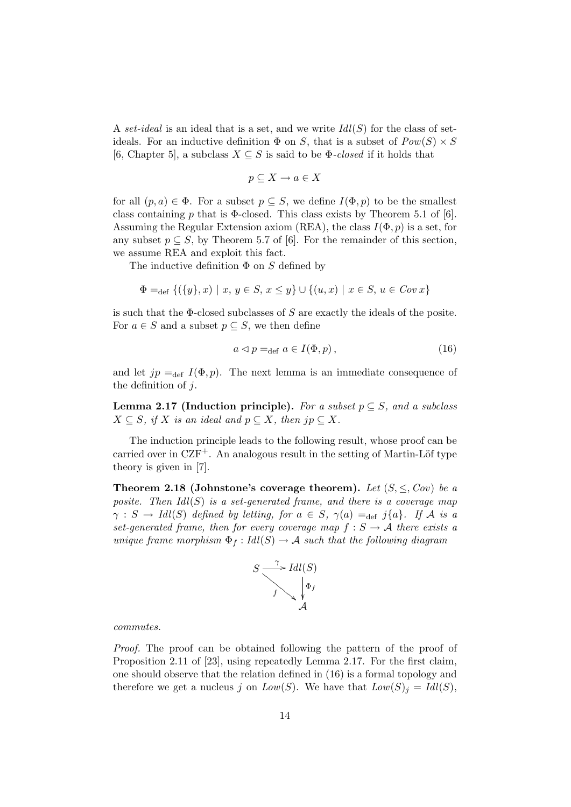A set-ideal is an ideal that is a set, and we write  $Idl(S)$  for the class of setideals. For an inductive definition  $\Phi$  on S, that is a subset of  $Pow(S) \times S$ [6, Chapter 5], a subclass  $X \subseteq S$  is said to be  $\Phi$ -closed if it holds that

$$
p \subseteq X \to a \in X
$$

for all  $(p, a) \in \Phi$ . For a subset  $p \subseteq S$ , we define  $I(\Phi, p)$  to be the smallest class containing p that is  $\Phi$ -closed. This class exists by Theorem 5.1 of [6]. Assuming the Regular Extension axiom (REA), the class  $I(\Phi, p)$  is a set, for any subset  $p \subseteq S$ , by Theorem 5.7 of [6]. For the remainder of this section, we assume REA and exploit this fact.

The inductive definition  $\Phi$  on S defined by

$$
\Phi =_{\text{def}} \{ (\{y\}, x) \mid x, y \in S, x \le y \} \cup \{ (u, x) \mid x \in S, u \in Cov x \}
$$

is such that the  $\Phi$ -closed subclasses of S are exactly the ideals of the posite. For  $a \in S$  and a subset  $p \subseteq S$ , we then define

$$
a \triangleleft p =_{\text{def}} a \in I(\Phi, p), \tag{16}
$$

and let  $jp =_{def} I(\Phi, p)$ . The next lemma is an immediate consequence of the definition of  $j$ .

**Lemma 2.17 (Induction principle).** For a subset  $p \subseteq S$ , and a subclass  $X \subseteq S$ , if X is an ideal and  $p \subseteq X$ , then  $jp \subseteq X$ .

The induction principle leads to the following result, whose proof can be carried over in  $CZF^+$ . An analogous result in the setting of Martin-Löf type theory is given in [7].

Theorem 2.18 (Johnstone's coverage theorem). Let  $(S, \leq, \text{Cov})$  be a posite. Then  $Idl(S)$  is a set-generated frame, and there is a coverage map  $\gamma : S \to \text{Idl}(S)$  defined by letting, for  $a \in S$ ,  $\gamma(a) =_{def} j\{a\}$ . If A is a set-generated frame, then for every coverage map  $f : S \to A$  there exists a unique frame morphism  $\Phi_f: Idl(S) \to \mathcal{A}$  such that the following diagram



commutes.

Proof. The proof can be obtained following the pattern of the proof of Proposition 2.11 of [23], using repeatedly Lemma 2.17. For the first claim, one should observe that the relation defined in (16) is a formal topology and therefore we get a nucleus j on  $Low(S)$ . We have that  $Low(S)_i = Idl(S)$ ,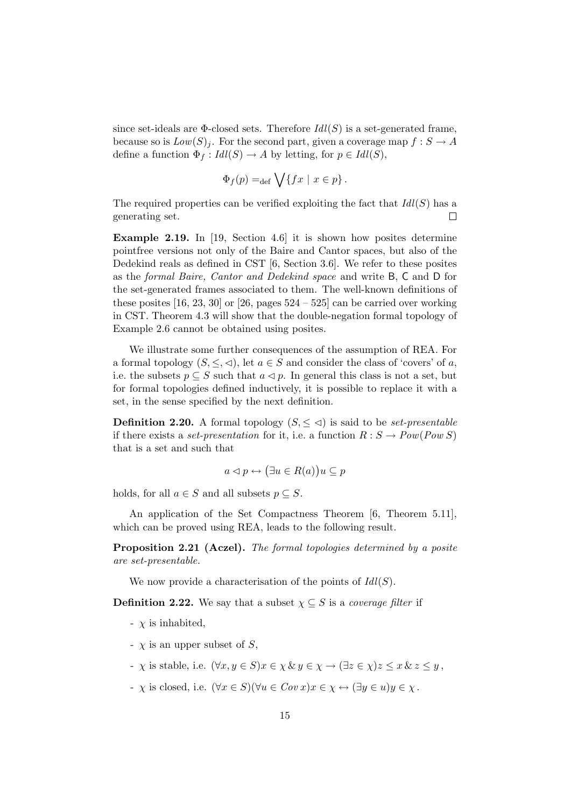since set-ideals are  $\Phi$ -closed sets. Therefore  $Idl(S)$  is a set-generated frame, because so is  $Low(S)<sub>j</sub>$ . For the second part, given a coverage map  $f : S \to A$ define a function  $\Phi_f: Idl(S) \to A$  by letting, for  $p \in Idl(S)$ ,

$$
\Phi_f(p) =_{\text{def}} \bigvee \{ fx \mid x \in p \} .
$$

The required properties can be verified exploiting the fact that  $Idl(S)$  has a generating set.  $\Box$ 

Example 2.19. In [19, Section 4.6] it is shown how posites determine pointfree versions not only of the Baire and Cantor spaces, but also of the Dedekind reals as defined in CST [6, Section 3.6]. We refer to these posites as the formal Baire, Cantor and Dedekind space and write B, C and D for the set-generated frames associated to them. The well-known definitions of these posites  $[16, 23, 30]$  or  $[26,$  pages  $524 - 525]$  can be carried over working in CST. Theorem 4.3 will show that the double-negation formal topology of Example 2.6 cannot be obtained using posites.

We illustrate some further consequences of the assumption of REA. For a formal topology  $(S, \leq, \leq)$ , let  $a \in S$  and consider the class of 'covers' of a, i.e. the subsets  $p \subseteq S$  such that  $a \triangleleft p$ . In general this class is not a set, but for formal topologies defined inductively, it is possible to replace it with a set, in the sense specified by the next definition.

**Definition 2.20.** A formal topology  $(S, \leq \leq)$  is said to be *set-presentable* if there exists a set-presentation for it, i.e. a function  $R : S \to Pow(Pow S)$ that is a set and such that

$$
a \triangleleft p \leftrightarrow (\exists u \in R(a))u \subseteq p
$$

holds, for all  $a \in S$  and all subsets  $p \subseteq S$ .

An application of the Set Compactness Theorem [6, Theorem 5.11], which can be proved using REA, leads to the following result.

Proposition 2.21 (Aczel). The formal topologies determined by a posite are set-presentable.

We now provide a characterisation of the points of  $Idl(S)$ .

**Definition 2.22.** We say that a subset  $\chi \subseteq S$  is a *coverage filter* if

- $\chi$  is inhabited,
- $\sim \chi$  is an upper subset of S,
- $\overline{\chi}$  is stable, i.e.  $(\forall x, y \in S)$  $x \in \chi \& y \in \chi \rightarrow (\exists z \in \chi)$  $z \leq x \& z \leq y$ .
- $\vdash \chi$  is closed, i.e.  $(\forall x \in S)(\forall u \in Cov \ x) x \in \chi \leftrightarrow (\exists y \in u) y \in \chi$ .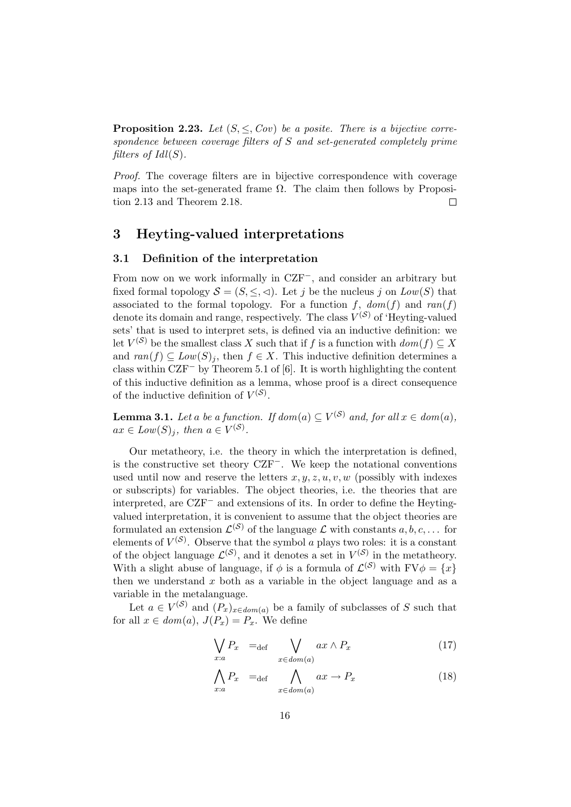**Proposition 2.23.** Let  $(S, \leq, Cov)$  be a posite. There is a bijective correspondence between coverage filters of S and set-generated completely prime filters of  $Idl(S)$ .

Proof. The coverage filters are in bijective correspondence with coverage maps into the set-generated frame  $\Omega$ . The claim then follows by Proposition 2.13 and Theorem 2.18.  $\Box$ 

## 3 Heyting-valued interpretations

#### 3.1 Definition of the interpretation

From now on we work informally in CZF−, and consider an arbitrary but fixed formal topology  $S = (S, \leq, \leq)$ . Let j be the nucleus j on  $Low(S)$  that associated to the formal topology. For a function f,  $dom(f)$  and  $ran(f)$ denote its domain and range, respectively. The class  $V^{(S)}$  of 'Heyting-valued sets' that is used to interpret sets, is defined via an inductive definition: we let  $V^{(S)}$  be the smallest class X such that if f is a function with  $dom(f) \subseteq X$ and  $ran(f) \subseteq Low(S)_i$ , then  $f \in X$ . This inductive definition determines a class within CZF<sup>−</sup> by Theorem 5.1 of [6]. It is worth highlighting the content of this inductive definition as a lemma, whose proof is a direct consequence of the inductive definition of  $V^{(S)}$ .

**Lemma 3.1.** Let a be a function. If  $dom(a) \subseteq V^{(\mathcal{S})}$  and, for all  $x \in dom(a)$ ,  $ax \in Low(S)_j$ , then  $a \in V^{(S)}$ .

Our metatheory, i.e. the theory in which the interpretation is defined, is the constructive set theory CZF−. We keep the notational conventions used until now and reserve the letters  $x, y, z, u, v, w$  (possibly with indexes or subscripts) for variables. The object theories, i.e. the theories that are interpreted, are CZF<sup>−</sup> and extensions of its. In order to define the Heytingvalued interpretation, it is convenient to assume that the object theories are formulated an extension  $\mathcal{L}^{(S)}$  of the language  $\mathcal L$  with constants  $a, b, c, \ldots$  for elements of  $V^{(S)}$ . Observe that the symbol a plays two roles: it is a constant of the object language  $\mathcal{L}^{(\mathcal{S})}$ , and it denotes a set in  $V^{(\mathcal{S})}$  in the metatheory. With a slight abuse of language, if  $\phi$  is a formula of  $\mathcal{L}^{(S)}$  with  $FV\phi = \{x\}$ then we understand  $x$  both as a variable in the object language and as a variable in the metalanguage.

Let  $a \in V^{(S)}$  and  $(P_x)_{x \in dom(a)}$  be a family of subclasses of S such that for all  $x \in dom(a), J(P_x) = P_x$ . We define

$$
\bigvee_{x:a} P_x =_{\text{def}} \bigvee_{x \in \text{dom}(a)} ax \wedge P_x \tag{17}
$$

$$
\bigwedge_{x:a} P_x =_{\text{def}} \bigwedge_{x \in dom(a)} ax \to P_x \tag{18}
$$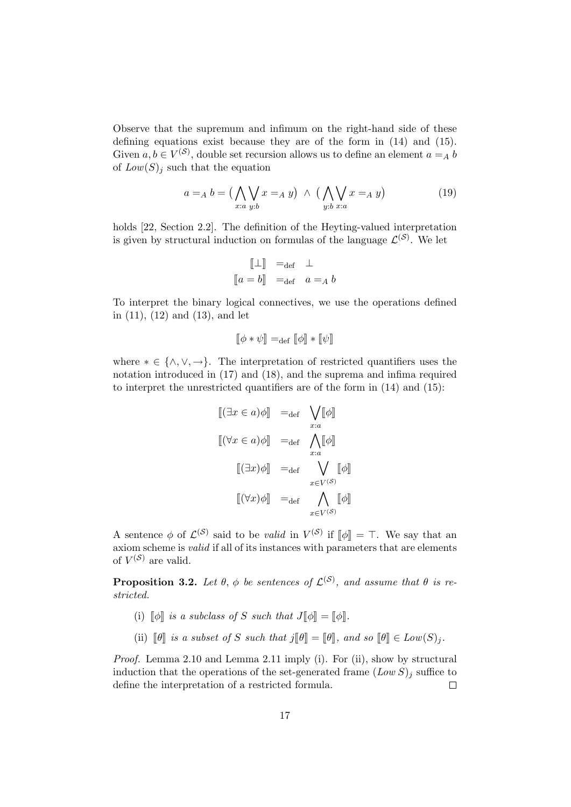Observe that the supremum and infimum on the right-hand side of these defining equations exist because they are of the form in (14) and (15). Given  $a, b \in V^{(S)}$ , double set recursion allows us to define an element  $a =_A b$ of  $Low(S)<sub>j</sub>$  such that the equation

$$
a =_A b = \left(\bigwedge_{x:a} \bigvee_{y:b} x =_A y\right) \land \left(\bigwedge_{y:b} \bigvee_{x:a} x =_A y\right)
$$
 (19)

holds [22, Section 2.2]. The definition of the Heyting-valued interpretation is given by structural induction on formulas of the language  $\mathcal{L}^{(S)}$ . We let

$$
\begin{bmatrix} \mathbb{L} \mathbb{I} & =_{\text{def}} & \mathbb{L} \\ a = b \mathbb{I} & =_{\text{def}} & a =_A b \end{bmatrix}
$$

To interpret the binary logical connectives, we use the operations defined in (11), (12) and (13), and let

$$
\llbracket \phi * \psi \rrbracket =_{\text{def}} \llbracket \phi \rrbracket * \llbracket \psi \rrbracket
$$

where  $* \in \{\wedge, \vee, \rightarrow\}.$  The interpretation of restricted quantifiers uses the notation introduced in (17) and (18), and the suprema and infima required to interpret the unrestricted quantifiers are of the form in (14) and (15):

$$
\begin{aligned}\n\left[ (\exists x \in a) \phi \right] &=_{\text{def}} \bigvee_{x:a} \left[ \phi \right] \\
\left[ (\forall x \in a) \phi \right] &=_{\text{def}} \bigwedge_{x:a} \left[ \phi \right] \\
\left[ (\exists x) \phi \right] &=_{\text{def}} \bigvee_{x \in V^{(S)}} \left[ \phi \right] \\
\left[ (\forall x) \phi \right] &=_{\text{def}} \bigwedge_{x \in V^{(S)}} \left[ \phi \right]\n\end{aligned}
$$

A sentence  $\phi$  of  $\mathcal{L}^{(\mathcal{S})}$  said to be valid in  $V^{(\mathcal{S})}$  if  $[\![\phi]\!] = \top$ . We say that an axiom scheme is valid if all of its instances with parameters that are elements of  $V^{(S)}$  are valid.

**Proposition 3.2.** Let  $\theta$ ,  $\phi$  be sentences of  $\mathcal{L}^{(\mathcal{S})}$ , and assume that  $\theta$  is restricted.

- (i)  $\llbracket \phi \rrbracket$  is a subclass of S such that  $J \llbracket \phi \rrbracket = \llbracket \phi \rrbracket$ .
- (ii)  $\llbracket \theta \rrbracket$  is a subset of S such that  $j \llbracket \theta \rrbracket = \llbracket \theta \rrbracket$ , and so  $\llbracket \theta \rrbracket \in Low(S)_j$ .

Proof. Lemma 2.10 and Lemma 2.11 imply (i). For (ii), show by structural induction that the operations of the set-generated frame  $(Low S)_j$  suffice to define the interpretation of a restricted formula.  $\Box$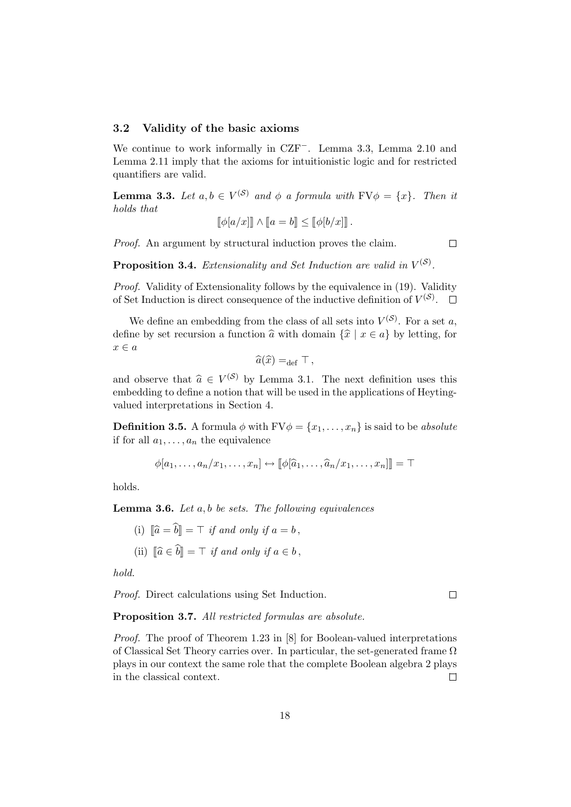#### 3.2 Validity of the basic axioms

We continue to work informally in CZF−. Lemma 3.3, Lemma 2.10 and Lemma 2.11 imply that the axioms for intuitionistic logic and for restricted quantifiers are valid.

**Lemma 3.3.** Let  $a, b \in V^{(S)}$  and  $\phi$  a formula with  $FV\phi = \{x\}$ . Then it holds that

$$
[\![\phi[a/x]\!] \wedge [\![a=b]\!] \leq [\![\phi[b/x]\!] \, .
$$

Proof. An argument by structural induction proves the claim.

 $\Box$ 

**Proposition 3.4.** Extensionality and Set Induction are valid in  $V^{(\mathcal{S})}$ .

Proof. Validity of Extensionality follows by the equivalence in (19). Validity of Set Induction is direct consequence of the inductive definition of  $V^{(S)}$ .

We define an embedding from the class of all sets into  $V^{(S)}$ . For a set a, define by set recursion a function  $\hat{a}$  with domain  $\{\hat{x} | x \in a\}$  by letting, for  $x \in a$ 

$$
\widehat{a}(\widehat{x}) =_{\text{def}} \top,
$$

and observe that  $\hat{a} \in V^{(S)}$  by Lemma 3.1. The next definition uses this embedding to define a notion that will be used in the applications of Heytingvalued interpretations in Section 4.

**Definition 3.5.** A formula  $\phi$  with  $FV\phi = \{x_1, \ldots, x_n\}$  is said to be absolute if for all  $a_1, \ldots, a_n$  the equivalence

$$
\phi[a_1,\ldots,a_n/x_1,\ldots,x_n]\leftrightarrow[\![\phi[\widehat{a}_1,\ldots,\widehat{a}_n/x_1,\ldots,x_n]]\!]=\top
$$

holds.

**Lemma 3.6.** Let  $a, b$  be sets. The following equivalences

- (i)  $\|\widehat{a} = \widehat{b}\| = \top$  if and only if  $a = b$ ,
- (ii)  $\|\widehat{a}\}\widehat{b}\| = \top$  if and only if  $a \in b$ .

hold.

Proof. Direct calculations using Set Induction.

 $\Box$ 

#### Proposition 3.7. All restricted formulas are absolute.

Proof. The proof of Theorem 1.23 in [8] for Boolean-valued interpretations of Classical Set Theory carries over. In particular, the set-generated frame  $\Omega$ plays in our context the same role that the complete Boolean algebra 2 plays in the classical context.  $\Box$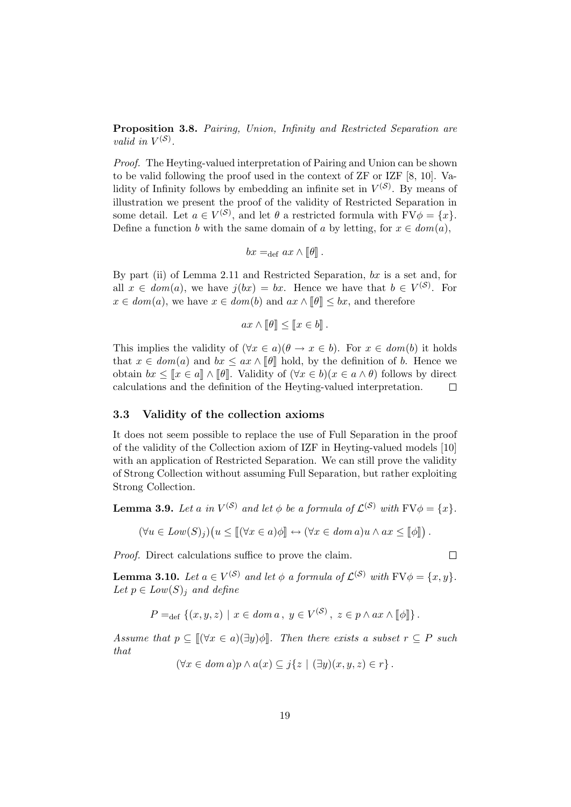Proposition 3.8. Pairing, Union, Infinity and Restricted Separation are valid in  $V^{(\mathcal{S})}$ .

Proof. The Heyting-valued interpretation of Pairing and Union can be shown to be valid following the proof used in the context of ZF or IZF [8, 10]. Validity of Infinity follows by embedding an infinite set in  $V^{(S)}$ . By means of illustration we present the proof of the validity of Restricted Separation in some detail. Let  $a \in V^{(S)}$ , and let  $\theta$  a restricted formula with  $FV\phi = \{x\}$ . Define a function b with the same domain of a by letting, for  $x \in dom(a)$ ,

$$
bx =_{def} ax \wedge [\![\theta]\!].
$$

By part (ii) of Lemma 2.11 and Restricted Separation,  $bx$  is a set and, for all  $x \in dom(a)$ , we have  $j(bx) = bx$ . Hence we have that  $b \in V^{(S)}$ . For  $x \in dom(a)$ , we have  $x \in dom(b)$  and  $ax \wedge \llbracket \theta \rrbracket \leq bx$ , and therefore

$$
ax \wedge \llbracket \theta \rrbracket \leq \llbracket x \in b \rrbracket.
$$

This implies the validity of  $(\forall x \in a)(\theta \to x \in b)$ . For  $x \in dom(b)$  it holds that  $x \in dom(a)$  and  $bx \le ax \wedge \llbracket \theta \rrbracket$  hold, by the definition of b. Hence we obtain  $bx \leq [x \in a] \wedge [\![\theta]\!]$ . Validity of  $(\forall x \in b)(x \in a \wedge \theta)$  follows by direct calculations and the definition of the Hevting-valued interpretation. calculations and the definition of the Heyting-valued interpretation.

#### 3.3 Validity of the collection axioms

It does not seem possible to replace the use of Full Separation in the proof of the validity of the Collection axiom of IZF in Heyting-valued models [10] with an application of Restricted Separation. We can still prove the validity of Strong Collection without assuming Full Separation, but rather exploiting Strong Collection.

**Lemma 3.9.** Let a in  $V^{(\mathcal{S})}$  and let  $\phi$  be a formula of  $\mathcal{L}^{(\mathcal{S})}$  with  $\text{FV}\phi = \{x\}$ .

$$
(\forall u \in Low(S)_j)(u \leq [[(\forall x \in a)\phi]] \leftrightarrow (\forall x \in dom a)u \land ax \leq [[\phi]]).
$$

Proof. Direct calculations suffice to prove the claim.

**Lemma 3.10.** Let  $a \in V^{(\mathcal{S})}$  and let  $\phi$  a formula of  $\mathcal{L}^{(\mathcal{S})}$  with  $\text{FV}\phi = \{x, y\}$ . Let  $p \in Low(S)_i$  and define

$$
P =_{\text{def}} \left\{ (x, y, z) \mid x \in \text{dom } a, y \in V^{(\mathcal{S})}, z \in p \land ax \land [\![\phi]\!] \right\}.
$$

Assume that  $p \subseteq ||(\forall x \in a)(\exists y)\phi||$ . Then there exists a subset  $r \subseteq P$  such that

 $(\forall x \in dom \ a) p \land a(x) \subseteq j\{z \mid (\exists y)(x, y, z) \in r\}.$ 

 $\Box$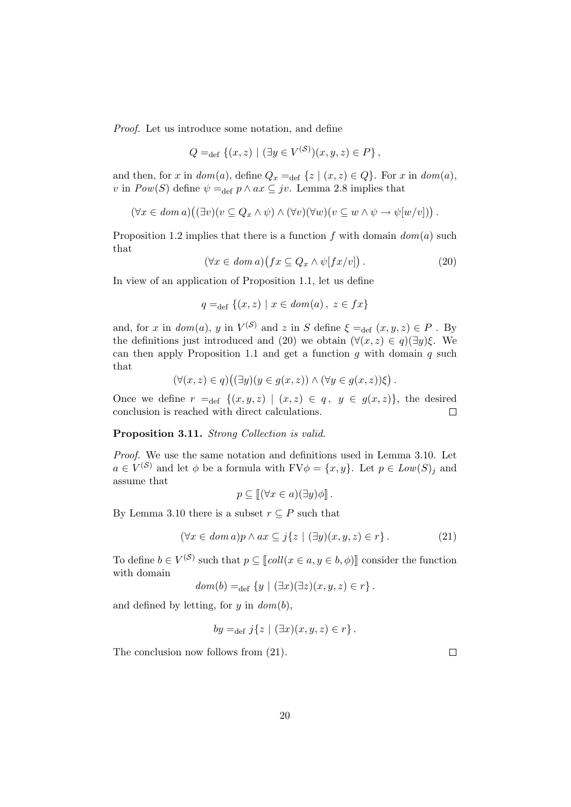Proof. Let us introduce some notation, and define

$$
Q =_{\text{def}} \{ (x, z) \mid (\exists y \in V^{(\mathcal{S})})(x, y, z) \in P \},
$$

and then, for x in  $dom(a)$ , define  $Q_x =_{def} \{z \mid (x, z) \in Q\}$ . For x in  $dom(a)$ , v in  $Pow(S)$  define  $\psi =_{def} p \wedge ax \subseteq jv$ . Lemma 2.8 implies that

$$
(\forall x \in \text{dom } a) ((\exists v)(v \subseteq Q_x \land \psi) \land (\forall v)(\forall w)(v \subseteq w \land \psi \to \psi[w/v]))
$$

Proposition 1.2 implies that there is a function f with domain  $dom(a)$  such that

$$
(\forall x \in \text{dom } a) (fx \subseteq Q_x \land \psi[fx/v]). \tag{20}
$$

In view of an application of Proposition 1.1, let us define

$$
q =_{\text{def}} \{(x, z) \mid x \in \text{dom}(a), \ z \in \text{fx}\}\
$$

and, for x in  $dom(a)$ , y in  $V^{(S)}$  and z in S define  $\xi =_{def} (x, y, z) \in P$ . By the definitions just introduced and (20) we obtain  $(\forall (x, z) \in q)(\exists y)\xi$ . We can then apply Proposition 1.1 and get a function  $q$  with domain  $q$  such that

$$
(\forall (x,z)\in q)((\exists y)(y\in g(x,z))\wedge (\forall y\in g(x,z))\xi).
$$

Once we define  $r =_{def} \{(x, y, z) | (x, z) \in q, y \in g(x, z)\}\)$ , the desired conclusion is reached with direct calculations.  $\Box$ 

#### Proposition 3.11. Strong Collection is valid.

Proof. We use the same notation and definitions used in Lemma 3.10. Let  $a \in V^{(S)}$  and let  $\phi$  be a formula with  $FV\phi = \{x, y\}$ . Let  $p \in Low(S)_j$  and assume that

$$
p \subseteq [[(\forall x \in a)(\exists y)\phi]].
$$

By Lemma 3.10 there is a subset  $r \subseteq P$  such that

$$
(\forall x \in \text{dom } a)p \land ax \subseteq j\{z \mid (\exists y)(x, y, z) \in r\}.
$$
 (21)

To define  $b \in V^{(S)}$  such that  $p \subseteq [coll(x \in a, y \in b, \phi)]$  consider the function with domain

$$
dom(b) =_{def} \{y \mid (\exists x)(\exists z)(x, y, z) \in r\}.
$$

and defined by letting, for  $y$  in  $dom(b)$ ,

$$
by =_{def} j\{z \mid (\exists x)(x, y, z) \in r\}.
$$

The conclusion now follows from (21).

 $\Box$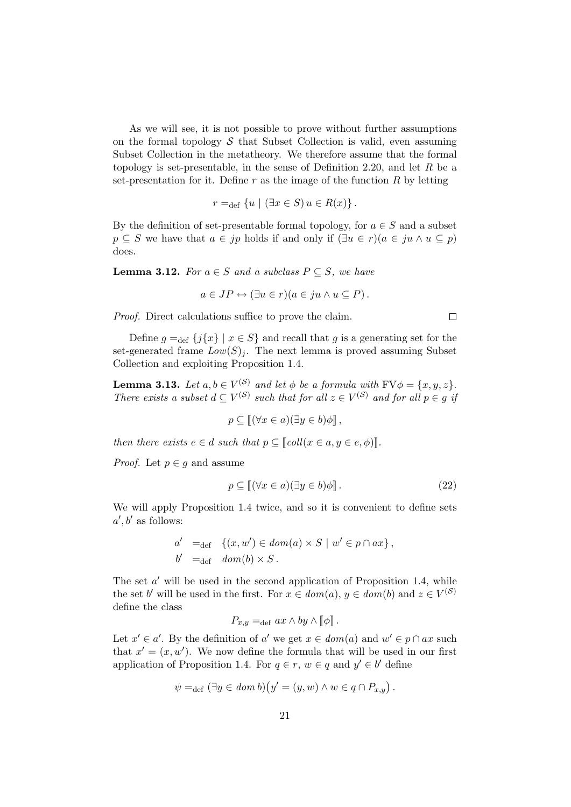As we will see, it is not possible to prove without further assumptions on the formal topology  $\mathcal S$  that Subset Collection is valid, even assuming Subset Collection in the metatheory. We therefore assume that the formal topology is set-presentable, in the sense of Definition 2.20, and let  $R$  be a set-presentation for it. Define r as the image of the function  $R$  by letting

$$
r =_{\text{def}} \{ u \mid (\exists x \in S) u \in R(x) \}.
$$

By the definition of set-presentable formal topology, for  $a \in S$  and a subset  $p \subseteq S$  we have that  $a \in jp$  holds if and only if  $(\exists u \in r)(a \in ju \land u \subseteq p)$ does.

**Lemma 3.12.** For  $a \in S$  and a subclass  $P \subseteq S$ , we have

$$
a \in JP \leftrightarrow (\exists u \in r)(a \in ju \wedge u \subseteq P).
$$

Proof. Direct calculations suffice to prove the claim.

Define  $g =_{def} {j{x} \mid x \in S}$  and recall that g is a generating set for the set-generated frame  $Low(S)<sub>i</sub>$ . The next lemma is proved assuming Subset Collection and exploiting Proposition 1.4.

**Lemma 3.13.** Let  $a, b \in V^{(\mathcal{S})}$  and let  $\phi$  be a formula with  $\text{FV}\phi = \{x, y, z\}$ . There exists a subset  $d \subseteq V^{(\mathcal{S})}$  such that for all  $z \in V^{(\mathcal{S})}$  and for all  $p \in g$  if

$$
p \subseteq [(\forall x \in a)(\exists y \in b)\phi],
$$

then there exists  $e \in d$  such that  $p \subseteq \llbracket \text{coll}(x \in a, y \in e, \phi) \rrbracket$ .

*Proof.* Let  $p \in g$  and assume

$$
p \subseteq [(\forall x \in a)(\exists y \in b)\phi]]. \tag{22}
$$

We will apply Proposition 1.4 twice, and so it is convenient to define sets  $a', b'$  as follows:

$$
a' =_{def} \{(x, w') \in dom(a) \times S \mid w' \in p \cap ax\},\
$$
  

$$
b' =_{def} dom(b) \times S.
$$

The set  $a'$  will be used in the second application of Proposition 1.4, while the set b' will be used in the first. For  $x \in dom(a), y \in dom(b)$  and  $z \in V^{(S)}$ define the class

$$
P_{x,y} = \text{def } ax \wedge by \wedge [\![\phi]\!].
$$

Let  $x' \in a'$ . By the definition of a' we get  $x \in dom(a)$  and  $w' \in p \cap ax$  such that  $x' = (x, w')$ . We now define the formula that will be used in our first application of Proposition 1.4. For  $q \in r$ ,  $w \in q$  and  $y' \in b'$  define

$$
\psi =_{\text{def}} (\exists y \in \text{dom } b)(y' = (y, w) \land w \in q \cap P_{x,y}).
$$

 $\Box$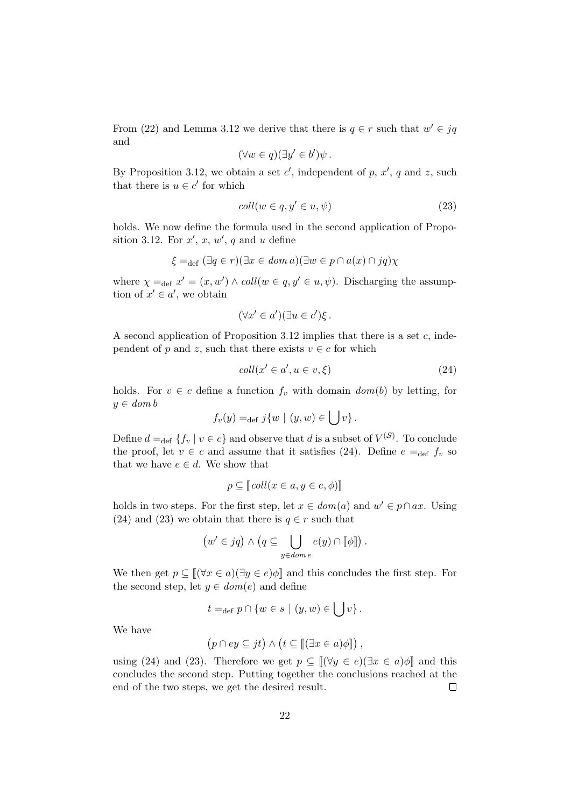From (22) and Lemma 3.12 we derive that there is  $q \in r$  such that  $w' \in jq$ and

$$
(\forall w \in q)(\exists y' \in b')\psi.
$$

By Proposition 3.12, we obtain a set  $c'$ , independent of p,  $x'$ , q and z, such that there is  $u \in c'$  for which

$$
coll(w \in q, y' \in u, \psi)
$$
\n<sup>(23)</sup>

holds. We now define the formula used in the second application of Proposition 3.12. For  $x'$ ,  $x$ ,  $w'$ ,  $q$  and  $u$  define

$$
\xi =_{\text{def}} (\exists q \in r)(\exists x \in \text{dom } a)(\exists w \in p \cap a(x) \cap \text{j}q)\chi
$$

where  $\chi =_{def} x' = (x, w') \wedge coll(w \in q, y' \in u, \psi)$ . Discharging the assumption of  $x' \in a'$ , we obtain

$$
(\forall x' \in a')(\exists u \in c')\xi.
$$

A second application of Proposition 3.12 implies that there is a set c, independent of p and z, such that there exists  $v \in c$  for which

$$
coll(x' \in a', u \in v, \xi)
$$
\n
$$
(24)
$$

holds. For  $v \in c$  define a function  $f_v$  with domain  $dom(b)$  by letting, for  $y \in dom b$ 

$$
f_v(y) =_{def} j\{w \mid (y, w) \in \bigcup v\}.
$$

Define  $d =_{def} \{f_v \mid v \in c\}$  and observe that d is a subset of  $V^{(S)}$ . To conclude the proof, let  $v \in c$  and assume that it satisfies (24). Define  $e =_{def} f_v$  so that we have  $e \in d$ . We show that

$$
p \subseteq [coll(x \in a, y \in e, \phi)]
$$

holds in two steps. For the first step, let  $x \in dom(a)$  and  $w' \in p \cap ax$ . Using (24) and (23) we obtain that there is  $q \in r$  such that

$$
(w' \in jq) \land (q \subseteq \bigcup_{y \in dom e} e(y) \cap [\![\phi]\!]) .
$$

We then get  $p \subseteq ||(\forall x \in a)(\exists y \in e)\phi||$  and this concludes the first step. For the second step, let  $y \in dom(e)$  and define

$$
t =_{\text{def}} p \cap \{w \in s \mid (y, w) \in \bigcup v\}.
$$

We have

$$
(p \cap ey \subseteq jt) \land (t \subseteq [[\exists x \in a)\phi]],
$$

using (24) and (23). Therefore we get  $p \subseteq ||(\forall y \in e)(\exists x \in a)\phi||$  and this concludes the second step. Putting together the conclusions reached at the end of the two steps, we get the desired result.  $\Box$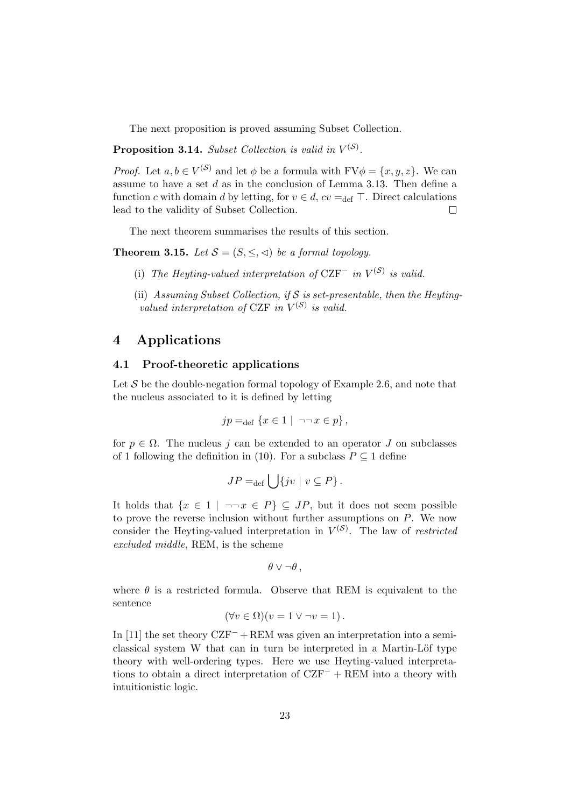The next proposition is proved assuming Subset Collection.

**Proposition 3.14.** Subset Collection is valid in  $V^{(\mathcal{S})}$ .

*Proof.* Let  $a, b \in V^{(S)}$  and let  $\phi$  be a formula with  $FV\phi = \{x, y, z\}$ . We can assume to have a set  $d$  as in the conclusion of Lemma 3.13. Then define a function c with domain d by letting, for  $v \in d$ ,  $cv =_{def} \top$ . Direct calculations lead to the validity of Subset Collection.  $\Box$ 

The next theorem summarises the results of this section.

**Theorem 3.15.** Let  $S = (S, \leq, \leq)$  be a formal topology.

- (i) The Heyting-valued interpretation of  $CZF^-$  in  $V^{(S)}$  is valid.
- (ii) Assuming Subset Collection, if S is set-presentable, then the Heytingvalued interpretation of CZF in  $V^{(S)}$  is valid.

### 4 Applications

#### 4.1 Proof-theoretic applications

Let  $S$  be the double-negation formal topology of Example 2.6, and note that the nucleus associated to it is defined by letting

$$
jp =_{def} \{x \in 1 \mid \neg\neg x \in p\},\
$$

for  $p \in \Omega$ . The nucleus j can be extended to an operator J on subclasses of 1 following the definition in (10). For a subclass  $P \subseteq 1$  define

$$
JP =_{\text{def}} \bigcup \{ jv \mid v \subseteq P \}.
$$

It holds that  $\{x \in 1 \mid \neg \neg x \in P\} \subseteq JP$ , but it does not seem possible to prove the reverse inclusion without further assumptions on P. We now consider the Heyting-valued interpretation in  $V^{(S)}$ . The law of *restricted* excluded middle, REM, is the scheme

$$
\theta \vee \neg \theta \,,
$$

where  $\theta$  is a restricted formula. Observe that REM is equivalent to the sentence

$$
(\forall v \in \Omega)(v = 1 \lor \neg v = 1).
$$

In [11] the set theory  $CZF^- + REM$  was given an interpretation into a semiclassical system  $W$  that can in turn be interpreted in a Martin-Löf type theory with well-ordering types. Here we use Heyting-valued interpretations to obtain a direct interpretation of  $CZF^-$  + REM into a theory with intuitionistic logic.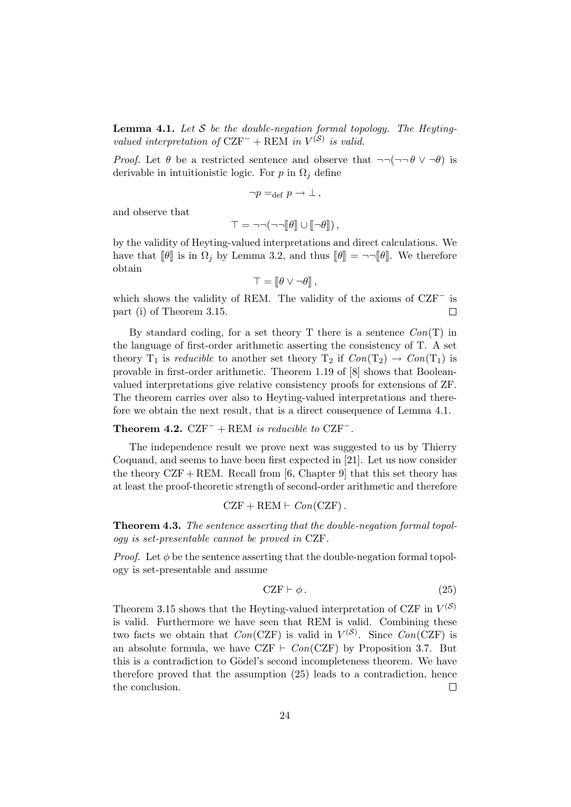**Lemma 4.1.** Let S be the double-negation formal topology. The Heytingvalued interpretation of  $CZF^-$  + REM in  $V^{(S)}$  is valid.

*Proof.* Let  $\theta$  be a restricted sentence and observe that  $\neg\neg(\neg\neg \theta \lor \neg \theta)$  is derivable in intuitionistic logic. For p in  $\Omega_i$  define

$$
\neg p =_{\text{def}} p \to \bot ,
$$

and observe that

$$
\top = \neg \neg (\neg \neg [\theta] \cup [\neg \theta]),
$$

by the validity of Heyting-valued interpretations and direct calculations. We have that  $\llbracket \theta \rrbracket$  is in  $\Omega_j$  by Lemma 3.2, and thus  $\llbracket \theta \rrbracket = \neg \neg \llbracket \theta \rrbracket$ . We therefore obtain

$$
\top = \llbracket \theta \vee \neg \theta \rrbracket,
$$

which shows the validity of REM. The validity of the axioms of CZF<sup>−</sup> is part (i) of Theorem 3.15.  $\Box$ 

By standard coding, for a set theory  $T$  there is a sentence  $Con(T)$  in the language of first-order arithmetic asserting the consistency of T. A set theory  $T_1$  is *reducible* to another set theory  $T_2$  if  $Con(T_2) \rightarrow Con(T_1)$  is provable in first-order arithmetic. Theorem 1.19 of [8] shows that Booleanvalued interpretations give relative consistency proofs for extensions of ZF. The theorem carries over also to Heyting-valued interpretations and therefore we obtain the next result, that is a direct consequence of Lemma 4.1.

#### Theorem 4.2.  $CZF^-$  + REM is reducible to  $CZF^-$ .

The independence result we prove next was suggested to us by Thierry Coquand, and seems to have been first expected in [21]. Let us now consider the theory  $CZF + REM$ . Recall from [6, Chapter 9] that this set theory has at least the proof-theoretic strength of second-order arithmetic and therefore

$$
CZF + REM \vdash Con(CZF).
$$

Theorem 4.3. The sentence asserting that the double-negation formal topology is set-presentable cannot be proved in CZF.

*Proof.* Let  $\phi$  be the sentence asserting that the double-negation formal topology is set-presentable and assume

$$
CZF \vdash \phi. \tag{25}
$$

Theorem 3.15 shows that the Heyting-valued interpretation of CZF in  $V^{(\mathcal{S})}$ is valid. Furthermore we have seen that REM is valid. Combining these two facts we obtain that  $Con(CZF)$  is valid in  $V^{(S)}$ . Since  $Con(CZF)$  is an absolute formula, we have CZF  $\vdash Con(CZF)$  by Proposition 3.7. But this is a contradiction to Gödel's second incompleteness theorem. We have therefore proved that the assumption (25) leads to a contradiction, hence the conclusion.  $\Box$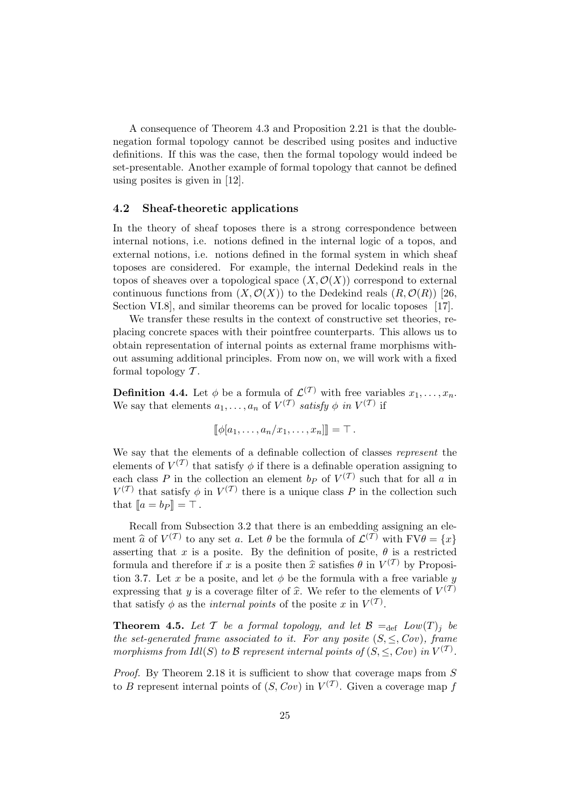A consequence of Theorem 4.3 and Proposition 2.21 is that the doublenegation formal topology cannot be described using posites and inductive definitions. If this was the case, then the formal topology would indeed be set-presentable. Another example of formal topology that cannot be defined using posites is given in [12].

#### 4.2 Sheaf-theoretic applications

In the theory of sheaf toposes there is a strong correspondence between internal notions, i.e. notions defined in the internal logic of a topos, and external notions, i.e. notions defined in the formal system in which sheaf toposes are considered. For example, the internal Dedekind reals in the topos of sheaves over a topological space  $(X, \mathcal{O}(X))$  correspond to external continuous functions from  $(X, \mathcal{O}(X))$  to the Dedekind reals  $(R, \mathcal{O}(R))$  [26, Section VI.8], and similar theorems can be proved for localic toposes [17].

We transfer these results in the context of constructive set theories, replacing concrete spaces with their pointfree counterparts. This allows us to obtain representation of internal points as external frame morphisms without assuming additional principles. From now on, we will work with a fixed formal topology  $\mathcal T$ .

**Definition 4.4.** Let  $\phi$  be a formula of  $\mathcal{L}^{(\mathcal{T})}$  with free variables  $x_1, \ldots, x_n$ . We say that elements  $a_1, \ldots, a_n$  of  $V^{(\mathcal{T})}$  satisfy  $\phi$  in  $V^{(\mathcal{T})}$  if

$$
[\![\phi[a_1,\ldots,a_n/x_1,\ldots,x_n]\!]] = \top.
$$

We say that the elements of a definable collection of classes represent the elements of  $V^{(\mathcal{T})}$  that satisfy  $\phi$  if there is a definable operation assigning to each class P in the collection an element  $b_P$  of  $V^{(T)}$  such that for all a in  $V^{(\mathcal{T})}$  that satisfy  $\phi$  in  $V^{(\mathcal{T})}$  there is a unique class P in the collection such that  $[a = b_P] = \top$ .

Recall from Subsection 3.2 that there is an embedding assigning an element  $\hat{a}$  of  $V^{(\mathcal{T})}$  to any set a. Let  $\theta$  be the formula of  $\mathcal{L}^{(\mathcal{T})}$  with  $\Gamma V \theta = \{x\}$ asserting that x is a posite. By the definition of posite,  $\theta$  is a restricted formula and therefore if x is a posite then  $\hat{x}$  satisfies  $\theta$  in  $V^{(\mathcal{T})}$  by Proposition 3.7. Let x be a posite and let  $\phi$  be the formula with a free variable set tion 3.7. Let x be a posite, and let  $\phi$  be the formula with a free variable y expressing that y is a coverage filter of  $\hat{x}$ . We refer to the elements of  $V^{(\mathcal{T})}$ that satisfy  $\phi$  as the *internal points* of the posite x in  $V^{(T)}$ .

**Theorem 4.5.** Let T be a formal topology, and let  $\mathcal{B} =_{def} Low(T)_i$  be the set-generated frame associated to it. For any posite  $(S, \leq, Cov)$ , frame morphisms from Idl(S) to B represent internal points of  $(S, \leq, Cov)$  in  $V^{(\mathcal{T})}$ .

Proof. By Theorem 2.18 it is sufficient to show that coverage maps from S to B represent internal points of  $(S, Cov)$  in  $V^{(\mathcal{T})}$ . Given a coverage map f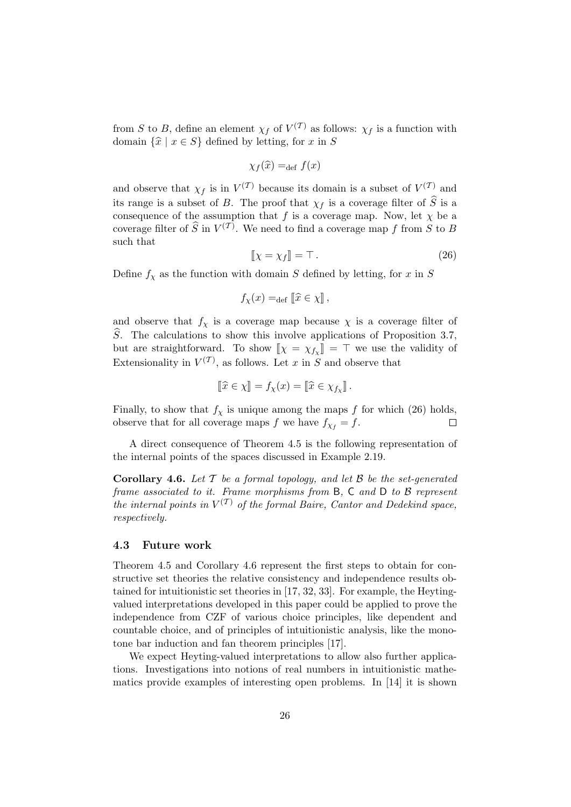from S to B, define an element  $\chi_f$  of  $V^{(\mathcal{T})}$  as follows:  $\chi_f$  is a function with domain  $\{\hat{x} \mid x \in S\}$  defined by letting, for x in S

$$
\chi_f(\widehat{x}) =_{\text{def}} f(x)
$$

and observe that  $\chi_f$  is in  $V^{(T)}$  because its domain is a subset of  $V^{(T)}$  and its range is a subset of B. The proof that  $\chi_f$  is a coverage filter of  $\widehat{S}$  is a consequence of the assumption that f is a coverage map. Now, let  $\chi$  be a coverage filter of  $\widehat{S}$  in  $V^{(\mathcal{T})}$ . We need to find a coverage map f from S to B such that

$$
\[\![\chi = \chi_f]\!] = \top.
$$
\n(26)

Define  $f_\chi$  as the function with domain S defined by letting, for x in S

$$
f_{\chi}(x) = \text{def } [\widehat{x} \in \chi],
$$

and observe that  $f_{\chi}$  is a coverage map because  $\chi$  is a coverage filter of  $S$ . The calculations to show this involve applications of Proposition 3.7, but are straightforward. To show  $\llbracket \chi = \chi_{f_X} \rrbracket = \top$  we use the validity of Extensionality in  $V^{(\mathcal{T})}$ , as follows. Let x in S and observe that

$$
\llbracket \widehat{x} \in \chi \rrbracket = f_{\chi}(x) = \llbracket \widehat{x} \in \chi_{f_{\chi}} \rrbracket.
$$

Finally, to show that  $f<sub>\chi</sub>$  is unique among the maps f for which (26) holds, observe that for all coverage maps f we have  $f_{\chi_f} = f$ .  $\Box$ 

A direct consequence of Theorem 4.5 is the following representation of the internal points of the spaces discussed in Example 2.19.

**Corollary 4.6.** Let  $\mathcal{T}$  be a formal topology, and let  $\mathcal{B}$  be the set-generated frame associated to it. Frame morphisms from B, C and D to B represent the internal points in  $V^{(\mathcal{T})}$  of the formal Baire, Cantor and Dedekind space, respectively.

#### 4.3 Future work

Theorem 4.5 and Corollary 4.6 represent the first steps to obtain for constructive set theories the relative consistency and independence results obtained for intuitionistic set theories in [17, 32, 33]. For example, the Heytingvalued interpretations developed in this paper could be applied to prove the independence from CZF of various choice principles, like dependent and countable choice, and of principles of intuitionistic analysis, like the monotone bar induction and fan theorem principles [17].

We expect Heyting-valued interpretations to allow also further applications. Investigations into notions of real numbers in intuitionistic mathematics provide examples of interesting open problems. In [14] it is shown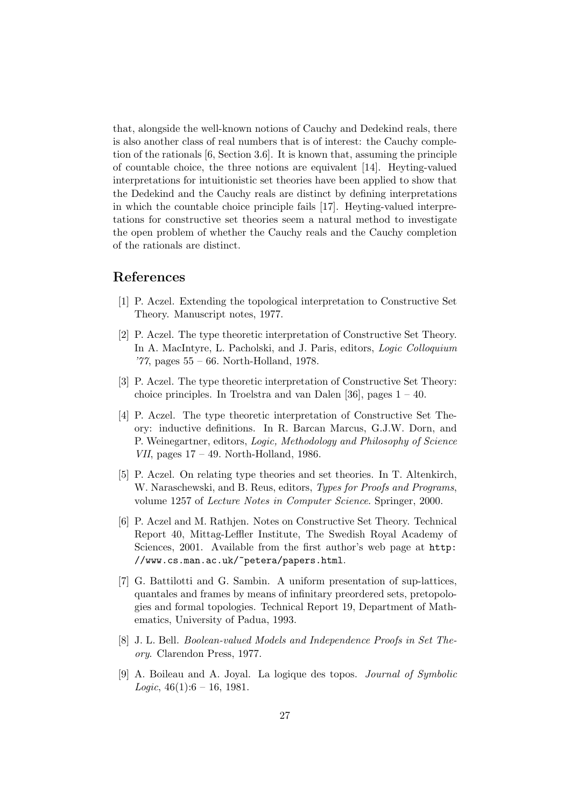that, alongside the well-known notions of Cauchy and Dedekind reals, there is also another class of real numbers that is of interest: the Cauchy completion of the rationals [6, Section 3.6]. It is known that, assuming the principle of countable choice, the three notions are equivalent [14]. Heyting-valued interpretations for intuitionistic set theories have been applied to show that the Dedekind and the Cauchy reals are distinct by defining interpretations in which the countable choice principle fails [17]. Heyting-valued interpretations for constructive set theories seem a natural method to investigate the open problem of whether the Cauchy reals and the Cauchy completion of the rationals are distinct.

## References

- [1] P. Aczel. Extending the topological interpretation to Constructive Set Theory. Manuscript notes, 1977.
- [2] P. Aczel. The type theoretic interpretation of Constructive Set Theory. In A. MacIntyre, L. Pacholski, and J. Paris, editors, *Logic Colloquium* '77, pages 55 – 66. North-Holland, 1978.
- [3] P. Aczel. The type theoretic interpretation of Constructive Set Theory: choice principles. In Troelstra and van Dalen  $[36]$ , pages  $1 - 40$ .
- [4] P. Aczel. The type theoretic interpretation of Constructive Set Theory: inductive definitions. In R. Barcan Marcus, G.J.W. Dorn, and P. Weinegartner, editors, Logic, Methodology and Philosophy of Science *VII*, pages  $17 - 49$ . North-Holland, 1986.
- [5] P. Aczel. On relating type theories and set theories. In T. Altenkirch, W. Naraschewski, and B. Reus, editors, Types for Proofs and Programs, volume 1257 of Lecture Notes in Computer Science. Springer, 2000.
- [6] P. Aczel and M. Rathjen. Notes on Constructive Set Theory. Technical Report 40, Mittag-Leffler Institute, The Swedish Royal Academy of Sciences, 2001. Available from the first author's web page at **http**: //www.cs.man.ac.uk/~petera/papers.html.
- [7] G. Battilotti and G. Sambin. A uniform presentation of sup-lattices, quantales and frames by means of infinitary preordered sets, pretopologies and formal topologies. Technical Report 19, Department of Mathematics, University of Padua, 1993.
- [8] J. L. Bell. Boolean-valued Models and Independence Proofs in Set Theory. Clarendon Press, 1977.
- [9] A. Boileau and A. Joyal. La logique des topos. Journal of Symbolic Logic,  $46(1):6 - 16$ , 1981.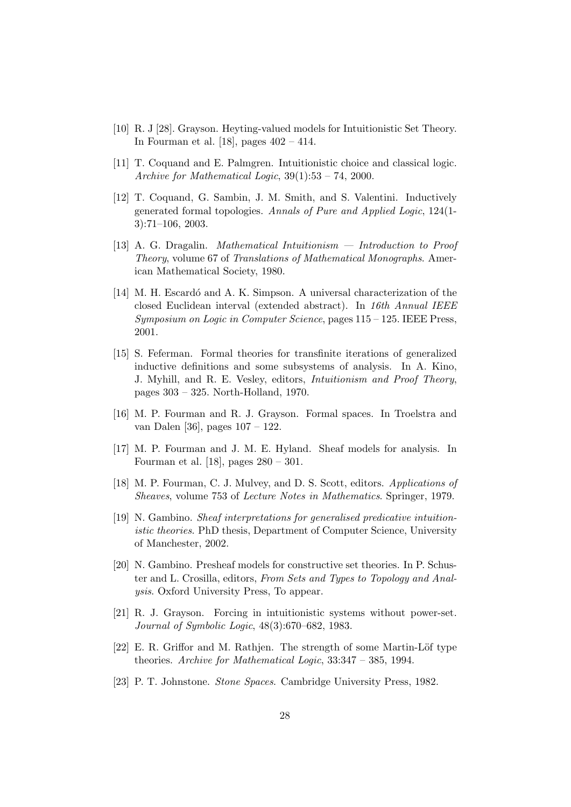- [10] R. J [28]. Grayson. Heyting-valued models for Intuitionistic Set Theory. In Fourman et al. [18], pages 402 – 414.
- [11] T. Coquand and E. Palmgren. Intuitionistic choice and classical logic. Archive for Mathematical Logic,  $39(1):53 - 74$ , 2000.
- [12] T. Coquand, G. Sambin, J. M. Smith, and S. Valentini. Inductively generated formal topologies. Annals of Pure and Applied Logic, 124(1- 3):71–106, 2003.
- [13] A. G. Dragalin. Mathematical Intuitionism Introduction to Proof Theory, volume 67 of Translations of Mathematical Monographs. American Mathematical Society, 1980.
- [14] M. H. Escardó and A. K. Simpson. A universal characterization of the closed Euclidean interval (extended abstract). In 16th Annual IEEE Symposium on Logic in Computer Science, pages 115 – 125. IEEE Press, 2001.
- [15] S. Feferman. Formal theories for transfinite iterations of generalized inductive definitions and some subsystems of analysis. In A. Kino, J. Myhill, and R. E. Vesley, editors, Intuitionism and Proof Theory, pages 303 – 325. North-Holland, 1970.
- [16] M. P. Fourman and R. J. Grayson. Formal spaces. In Troelstra and van Dalen [36], pages 107 – 122.
- [17] M. P. Fourman and J. M. E. Hyland. Sheaf models for analysis. In Fourman et al. [18], pages 280 – 301.
- [18] M. P. Fourman, C. J. Mulvey, and D. S. Scott, editors. Applications of Sheaves, volume 753 of Lecture Notes in Mathematics. Springer, 1979.
- [19] N. Gambino. Sheaf interpretations for generalised predicative intuitionistic theories. PhD thesis, Department of Computer Science, University of Manchester, 2002.
- [20] N. Gambino. Presheaf models for constructive set theories. In P. Schuster and L. Crosilla, editors, From Sets and Types to Topology and Analysis. Oxford University Press, To appear.
- [21] R. J. Grayson. Forcing in intuitionistic systems without power-set. Journal of Symbolic Logic, 48(3):670–682, 1983.
- [22] E. R. Griffor and M. Rathjen. The strength of some Martin-Löf type theories. Archive for Mathematical Logic, 33:347 – 385, 1994.
- [23] P. T. Johnstone. Stone Spaces. Cambridge University Press, 1982.